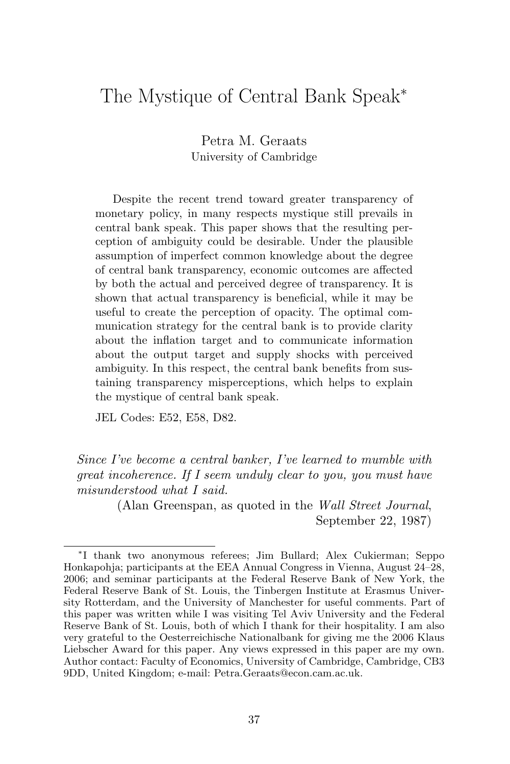# The Mystique of Central Bank Speak<sup>∗</sup>

Petra M. Geraats University of Cambridge

Despite the recent trend toward greater transparency of monetary policy, in many respects mystique still prevails in central bank speak. This paper shows that the resulting perception of ambiguity could be desirable. Under the plausible assumption of imperfect common knowledge about the degree of central bank transparency, economic outcomes are affected by both the actual and perceived degree of transparency. It is shown that actual transparency is beneficial, while it may be useful to create the perception of opacity. The optimal communication strategy for the central bank is to provide clarity about the inflation target and to communicate information about the output target and supply shocks with perceived ambiguity. In this respect, the central bank benefits from sustaining transparency misperceptions, which helps to explain the mystique of central bank speak.

JEL Codes: E52, E58, D82.

Since I've become a central banker, I've learned to mumble with great incoherence. If I seem unduly clear to you, you must have misunderstood what I said.

> (Alan Greenspan, as quoted in the Wall Street Journal, September 22, 1987)

<sup>∗</sup>I thank two anonymous referees; Jim Bullard; Alex Cukierman; Seppo Honkapohja; participants at the EEA Annual Congress in Vienna, August 24–28, 2006; and seminar participants at the Federal Reserve Bank of New York, the Federal Reserve Bank of St. Louis, the Tinbergen Institute at Erasmus University Rotterdam, and the University of Manchester for useful comments. Part of this paper was written while I was visiting Tel Aviv University and the Federal Reserve Bank of St. Louis, both of which I thank for their hospitality. I am also very grateful to the Oesterreichische Nationalbank for giving me the 2006 Klaus Liebscher Award for this paper. Any views expressed in this paper are my own. Author contact: Faculty of Economics, University of Cambridge, Cambridge, CB3 9DD, United Kingdom; e-mail: Petra.Geraats@econ.cam.ac.uk.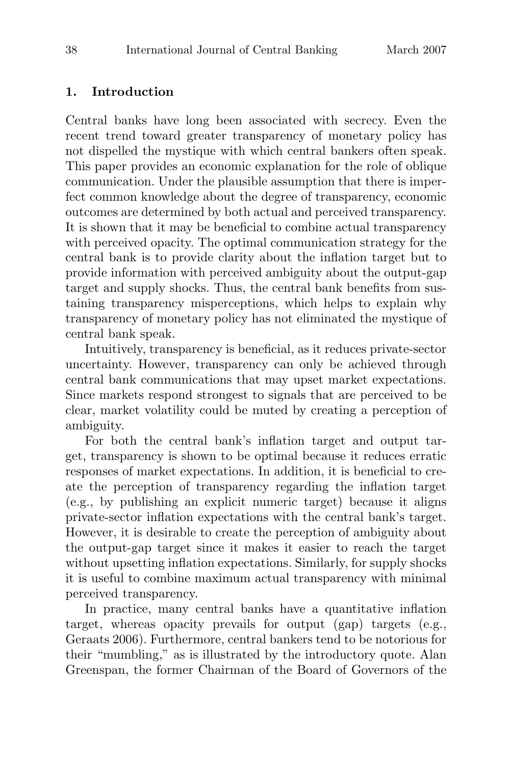## **1. Introduction**

Central banks have long been associated with secrecy. Even the recent trend toward greater transparency of monetary policy has not dispelled the mystique with which central bankers often speak. This paper provides an economic explanation for the role of oblique communication. Under the plausible assumption that there is imperfect common knowledge about the degree of transparency, economic outcomes are determined by both actual and perceived transparency. It is shown that it may be beneficial to combine actual transparency with perceived opacity. The optimal communication strategy for the central bank is to provide clarity about the inflation target but to provide information with perceived ambiguity about the output-gap target and supply shocks. Thus, the central bank benefits from sustaining transparency misperceptions, which helps to explain why transparency of monetary policy has not eliminated the mystique of central bank speak.

Intuitively, transparency is beneficial, as it reduces private-sector uncertainty. However, transparency can only be achieved through central bank communications that may upset market expectations. Since markets respond strongest to signals that are perceived to be clear, market volatility could be muted by creating a perception of ambiguity.

For both the central bank's inflation target and output target, transparency is shown to be optimal because it reduces erratic responses of market expectations. In addition, it is beneficial to create the perception of transparency regarding the inflation target (e.g., by publishing an explicit numeric target) because it aligns private-sector inflation expectations with the central bank's target. However, it is desirable to create the perception of ambiguity about the output-gap target since it makes it easier to reach the target without upsetting inflation expectations. Similarly, for supply shocks it is useful to combine maximum actual transparency with minimal perceived transparency.

In practice, many central banks have a quantitative inflation target, whereas opacity prevails for output (gap) targets (e.g., Geraats 2006). Furthermore, central bankers tend to be notorious for their "mumbling," as is illustrated by the introductory quote. Alan Greenspan, the former Chairman of the Board of Governors of the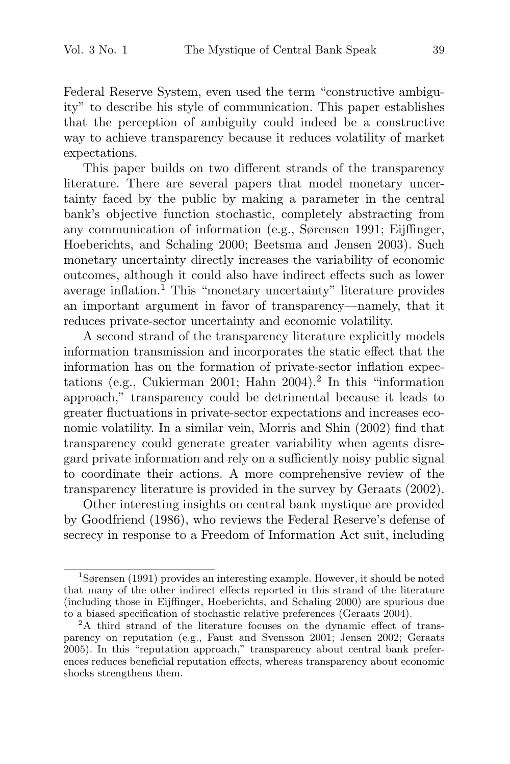Federal Reserve System, even used the term "constructive ambiguity" to describe his style of communication. This paper establishes that the perception of ambiguity could indeed be a constructive way to achieve transparency because it reduces volatility of market expectations.

This paper builds on two different strands of the transparency literature. There are several papers that model monetary uncertainty faced by the public by making a parameter in the central bank's objective function stochastic, completely abstracting from any communication of information (e.g., Sørensen 1991; Eijffinger, Hoeberichts, and Schaling 2000; Beetsma and Jensen 2003). Such monetary uncertainty directly increases the variability of economic outcomes, although it could also have indirect effects such as lower average inflation.<sup>1</sup> This "monetary uncertainty" literature provides an important argument in favor of transparency—namely, that it reduces private-sector uncertainty and economic volatility.

A second strand of the transparency literature explicitly models information transmission and incorporates the static effect that the information has on the formation of private-sector inflation expectations (e.g., Cukierman 2001; Hahn  $2004$ )<sup>2</sup> In this "information approach," transparency could be detrimental because it leads to greater fluctuations in private-sector expectations and increases economic volatility. In a similar vein, Morris and Shin (2002) find that transparency could generate greater variability when agents disregard private information and rely on a sufficiently noisy public signal to coordinate their actions. A more comprehensive review of the transparency literature is provided in the survey by Geraats (2002).

Other interesting insights on central bank mystique are provided by Goodfriend (1986), who reviews the Federal Reserve's defense of secrecy in response to a Freedom of Information Act suit, including

<sup>1</sup>Sørensen (1991) provides an interesting example. However, it should be noted that many of the other indirect effects reported in this strand of the literature (including those in Eijffinger, Hoeberichts, and Schaling 2000) are spurious due

to a biased specification of stochastic relative preferences (Geraats 2004).  $2A$  third strand of the literature focuses on the dynamic effect of transparency on reputation (e.g., Faust and Svensson 2001; Jensen 2002; Geraats 2005). In this "reputation approach," transparency about central bank preferences reduces beneficial reputation effects, whereas transparency about economic shocks strengthens them.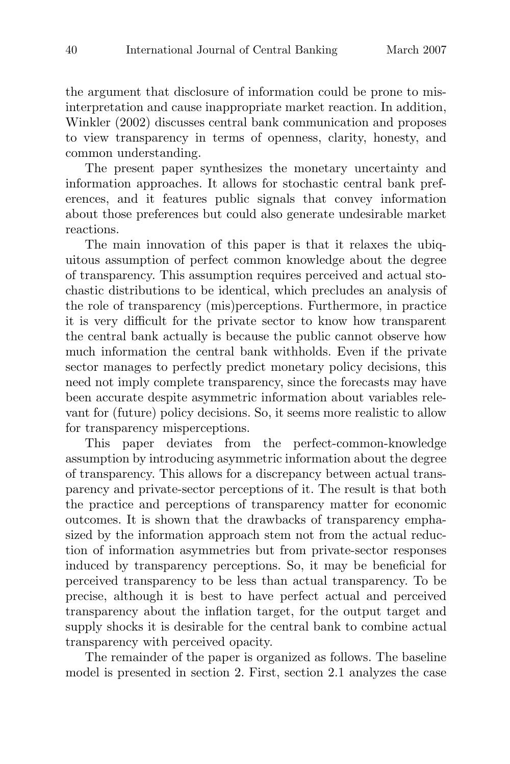the argument that disclosure of information could be prone to misinterpretation and cause inappropriate market reaction. In addition, Winkler (2002) discusses central bank communication and proposes to view transparency in terms of openness, clarity, honesty, and common understanding.

The present paper synthesizes the monetary uncertainty and information approaches. It allows for stochastic central bank preferences, and it features public signals that convey information about those preferences but could also generate undesirable market reactions.

The main innovation of this paper is that it relaxes the ubiquitous assumption of perfect common knowledge about the degree of transparency. This assumption requires perceived and actual stochastic distributions to be identical, which precludes an analysis of the role of transparency (mis)perceptions. Furthermore, in practice it is very difficult for the private sector to know how transparent the central bank actually is because the public cannot observe how much information the central bank withholds. Even if the private sector manages to perfectly predict monetary policy decisions, this need not imply complete transparency, since the forecasts may have been accurate despite asymmetric information about variables relevant for (future) policy decisions. So, it seems more realistic to allow for transparency misperceptions.

This paper deviates from the perfect-common-knowledge assumption by introducing asymmetric information about the degree of transparency. This allows for a discrepancy between actual transparency and private-sector perceptions of it. The result is that both the practice and perceptions of transparency matter for economic outcomes. It is shown that the drawbacks of transparency emphasized by the information approach stem not from the actual reduction of information asymmetries but from private-sector responses induced by transparency perceptions. So, it may be beneficial for perceived transparency to be less than actual transparency. To be precise, although it is best to have perfect actual and perceived transparency about the inflation target, for the output target and supply shocks it is desirable for the central bank to combine actual transparency with perceived opacity.

The remainder of the paper is organized as follows. The baseline model is presented in section 2. First, section 2.1 analyzes the case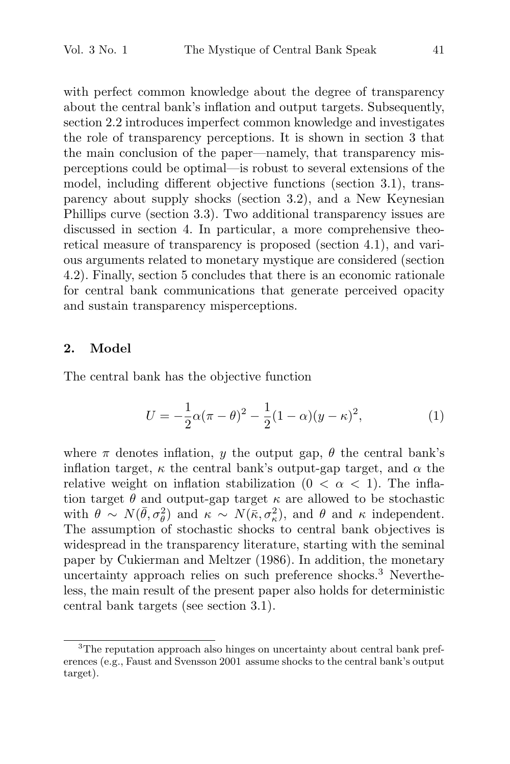with perfect common knowledge about the degree of transparency about the central bank's inflation and output targets. Subsequently, section 2.2 introduces imperfect common knowledge and investigates the role of transparency perceptions. It is shown in section 3 that the main conclusion of the paper—namely, that transparency misperceptions could be optimal—is robust to several extensions of the model, including different objective functions (section 3.1), transparency about supply shocks (section 3.2), and a New Keynesian Phillips curve (section 3.3). Two additional transparency issues are discussed in section 4. In particular, a more comprehensive theoretical measure of transparency is proposed (section 4.1), and various arguments related to monetary mystique are considered (section 4.2). Finally, section 5 concludes that there is an economic rationale for central bank communications that generate perceived opacity and sustain transparency misperceptions.

#### **2. Model**

The central bank has the objective function

$$
U = -\frac{1}{2}\alpha(\pi - \theta)^2 - \frac{1}{2}(1 - \alpha)(y - \kappa)^2,
$$
 (1)

where  $\pi$  denotes inflation, y the output gap,  $\theta$  the central bank's inflation target,  $\kappa$  the central bank's output-gap target, and  $\alpha$  the relative weight on inflation stabilization  $(0 < \alpha < 1)$ . The inflation target  $\theta$  and output-gap target  $\kappa$  are allowed to be stochastic with  $\theta \sim N(\bar{\theta}, \sigma_{\theta}^2)$  and  $\kappa \sim N(\bar{\kappa}, \sigma_{\kappa}^2)$ , and  $\theta$  and  $\kappa$  independent. The assumption of stochastic shocks to central bank objectives is widespread in the transparency literature, starting with the seminal paper by Cukierman and Meltzer (1986). In addition, the monetary uncertainty approach relies on such preference shocks.<sup>3</sup> Nevertheless, the main result of the present paper also holds for deterministic central bank targets (see section 3.1).

<sup>&</sup>lt;sup>3</sup>The reputation approach also hinges on uncertainty about central bank preferences (e.g., Faust and Svensson 2001 assume shocks to the central bank's output target).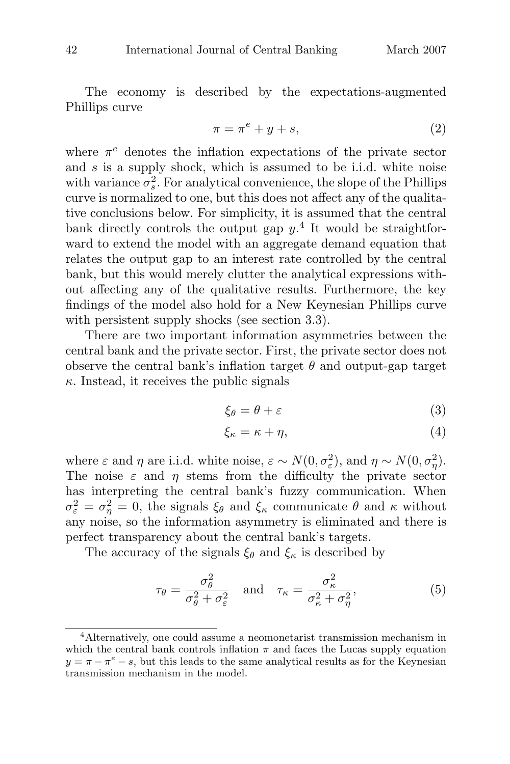The economy is described by the expectations-augmented Phillips curve

$$
\pi = \pi^e + y + s,\tag{2}
$$

where  $\pi^e$  denotes the inflation expectations of the private sector and s is a supply shock, which is assumed to be i.i.d. white noise with variance  $\sigma_s^2$ . For analytical convenience, the slope of the Phillips curve is normalized to one, but this does not affect any of the qualitative conclusions below. For simplicity, it is assumed that the central bank directly controls the output gap  $y^4$ . It would be straightforward to extend the model with an aggregate demand equation that relates the output gap to an interest rate controlled by the central bank, but this would merely clutter the analytical expressions without affecting any of the qualitative results. Furthermore, the key findings of the model also hold for a New Keynesian Phillips curve with persistent supply shocks (see section 3.3).

There are two important information asymmetries between the central bank and the private sector. First, the private sector does not observe the central bank's inflation target  $\theta$  and output-gap target  $\kappa$ . Instead, it receives the public signals

$$
\xi_{\theta} = \theta + \varepsilon \tag{3}
$$

$$
\xi_{\kappa} = \kappa + \eta,\tag{4}
$$

where  $\varepsilon$  and  $\eta$  are i.i.d. white noise,  $\varepsilon \sim N(0, \sigma_{\varepsilon}^2)$ , and  $\eta \sim N(0, \sigma_{\eta}^2)$ . The noise  $\varepsilon$  and  $\eta$  stems from the difficulty the private sector has interpreting the central bank's fuzzy communication. When  $\sigma_{\varepsilon}^2 = \sigma_{\eta}^2 = 0$ , the signals  $\xi_{\theta}$  and  $\xi_{\kappa}$  communicate  $\theta$  and  $\kappa$  without any noise, so the information asymmetry is eliminated and there is perfect transparency about the central bank's targets.

The accuracy of the signals  $\xi_{\theta}$  and  $\xi_{\kappa}$  is described by

$$
\tau_{\theta} = \frac{\sigma_{\theta}^2}{\sigma_{\theta}^2 + \sigma_{\varepsilon}^2} \quad \text{and} \quad \tau_{\kappa} = \frac{\sigma_{\kappa}^2}{\sigma_{\kappa}^2 + \sigma_{\eta}^2},\tag{5}
$$

<sup>&</sup>lt;sup>4</sup>Alternatively, one could assume a neomonetarist transmission mechanism in which the central bank controls inflation  $\pi$  and faces the Lucas supply equation  $y = \pi - \pi^e - s$ , but this leads to the same analytical results as for the Keynesian transmission mechanism in the model.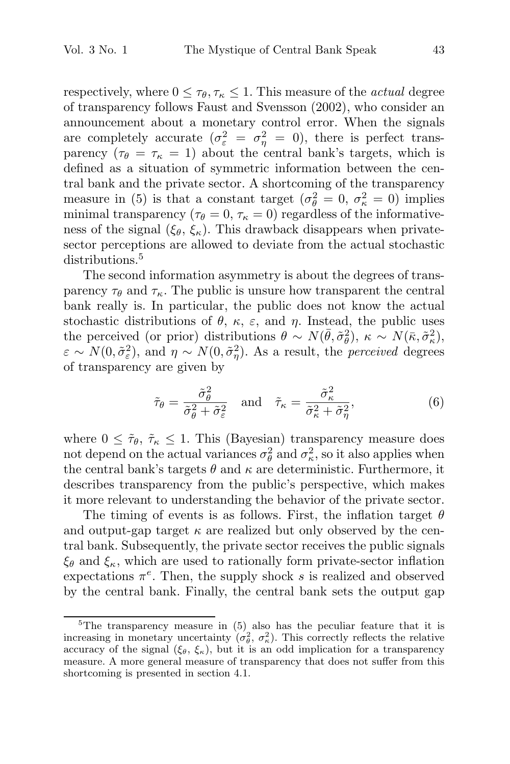respectively, where  $0 \leq \tau_{\theta}, \tau_{\kappa} \leq 1$ . This measure of the *actual* degree of transparency follows Faust and Svensson (2002), who consider an announcement about a monetary control error. When the signals are completely accurate  $(\sigma_{\varepsilon}^2 = \sigma_{\eta}^2 = 0)$ , there is perfect transparency  $(\tau_{\theta} = \tau_{\kappa} = 1)$  about the central bank's targets, which is defined as a situation of symmetric information between the central bank and the private sector. A shortcoming of the transparency measure in (5) is that a constant target  $(\sigma_{\theta}^2 = 0, \sigma_{\kappa}^2 = 0)$  implies minimal transparency ( $\tau_{\theta} = 0$ ,  $\tau_{\kappa} = 0$ ) regardless of the informativeness of the signal  $(\xi_{\theta}, \xi_{\kappa})$ . This drawback disappears when privatesector perceptions are allowed to deviate from the actual stochastic distributions.<sup>5</sup>

The second information asymmetry is about the degrees of transparency  $\tau_{\theta}$  and  $\tau_{\kappa}$ . The public is unsure how transparent the central bank really is. In particular, the public does not know the actual stochastic distributions of  $\theta$ ,  $\kappa$ ,  $\varepsilon$ , and  $\eta$ . Instead, the public uses the perceived (or prior) distributions  $\theta \sim N(\bar{\theta}, \tilde{\sigma}_{\theta}^2), \ \kappa \sim N(\bar{\kappa}, \tilde{\sigma}_{\kappa}^2),$  $\varepsilon \sim N(0, \tilde{\sigma}_{\varepsilon}^2)$ , and  $\eta \sim N(0, \tilde{\sigma}_{\eta}^2)$ . As a result, the *perceived* degrees of transparency are given by

$$
\tilde{\tau}_{\theta} = \frac{\tilde{\sigma}_{\theta}^{2}}{\tilde{\sigma}_{\theta}^{2} + \tilde{\sigma}_{\varepsilon}^{2}} \quad \text{and} \quad \tilde{\tau}_{\kappa} = \frac{\tilde{\sigma}_{\kappa}^{2}}{\tilde{\sigma}_{\kappa}^{2} + \tilde{\sigma}_{\eta}^{2}},\tag{6}
$$

where  $0 \leq \tilde{\tau}_{\theta}, \tilde{\tau}_{\kappa} \leq 1$ . This (Bayesian) transparency measure does not depend on the actual variances  $\sigma_{\theta}^2$  and  $\sigma_{\kappa}^2$ , so it also applies when the central bank's targets  $\theta$  and  $\kappa$  are deterministic. Furthermore, it describes transparency from the public's perspective, which makes it more relevant to understanding the behavior of the private sector.

The timing of events is as follows. First, the inflation target  $\theta$ and output-gap target  $\kappa$  are realized but only observed by the central bank. Subsequently, the private sector receives the public signals  $\xi_{\theta}$  and  $\xi_{\kappa}$ , which are used to rationally form private-sector inflation expectations  $\pi^e$ . Then, the supply shock s is realized and observed by the central bank. Finally, the central bank sets the output gap

<sup>&</sup>lt;sup>5</sup>The transparency measure in  $(5)$  also has the peculiar feature that it is increasing in monetary uncertainty  $(\sigma_{\theta}^2, \sigma_{\kappa}^2)$ . This correctly reflects the relative accuracy of the signal  $(\xi_{\theta}, \xi_{\kappa})$ , but it is an odd implication for a transparency measure. A more general measure of transparency that does not suffer from this shortcoming is presented in section 4.1.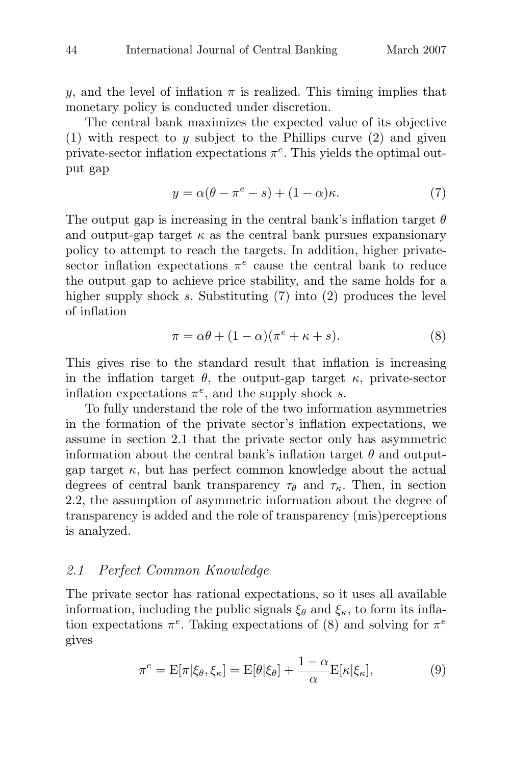y, and the level of inflation  $\pi$  is realized. This timing implies that monetary policy is conducted under discretion.

The central bank maximizes the expected value of its objective (1) with respect to y subject to the Phillips curve  $(2)$  and given private-sector inflation expectations  $\pi^e$ . This yields the optimal output gap

$$
y = \alpha(\theta - \pi^e - s) + (1 - \alpha)\kappa.
$$
 (7)

The output gap is increasing in the central bank's inflation target  $\theta$ and output-gap target  $\kappa$  as the central bank pursues expansionary policy to attempt to reach the targets. In addition, higher privatesector inflation expectations  $\pi^e$  cause the central bank to reduce the output gap to achieve price stability, and the same holds for a higher supply shock s. Substituting (7) into (2) produces the level of inflation

$$
\pi = \alpha \theta + (1 - \alpha)(\pi^e + \kappa + s). \tag{8}
$$

This gives rise to the standard result that inflation is increasing in the inflation target  $\theta$ , the output-gap target  $\kappa$ , private-sector inflation expectations  $\pi^e$ , and the supply shock s.

To fully understand the role of the two information asymmetries in the formation of the private sector's inflation expectations, we assume in section 2.1 that the private sector only has asymmetric information about the central bank's inflation target  $\theta$  and outputgap target  $\kappa$ , but has perfect common knowledge about the actual degrees of central bank transparency  $\tau_{\theta}$  and  $\tau_{\kappa}$ . Then, in section 2.2, the assumption of asymmetric information about the degree of transparency is added and the role of transparency (mis)perceptions is analyzed.

## 2.1 Perfect Common Knowledge

The private sector has rational expectations, so it uses all available information, including the public signals  $\xi_{\theta}$  and  $\xi_{\kappa}$ , to form its inflation expectations  $\pi^e$ . Taking expectations of (8) and solving for  $\pi^e$ gives

$$
\pi^e = \mathcal{E}[\pi | \xi_\theta, \xi_\kappa] = \mathcal{E}[\theta | \xi_\theta] + \frac{1 - \alpha}{\alpha} \mathcal{E}[\kappa | \xi_\kappa],\tag{9}
$$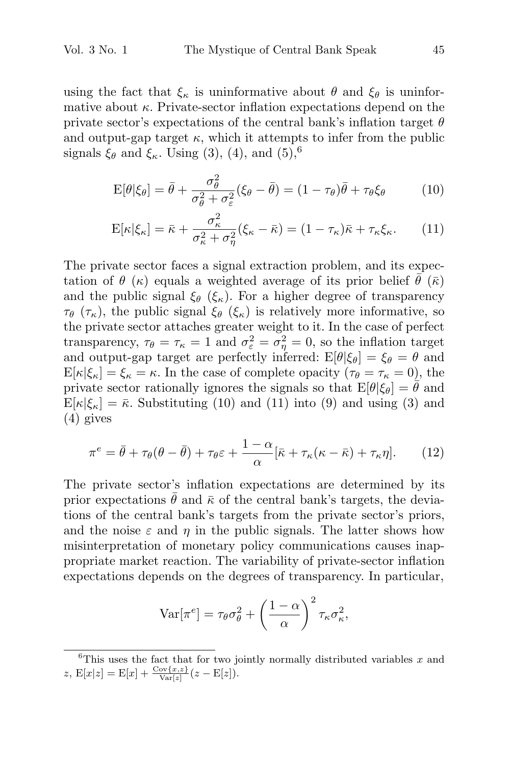using the fact that  $\xi_{\kappa}$  is uninformative about  $\theta$  and  $\xi_{\theta}$  is uninformative about  $\kappa$ . Private-sector inflation expectations depend on the private sector's expectations of the central bank's inflation target  $\theta$ and output-gap target  $\kappa$ , which it attempts to infer from the public signals  $\xi_{\theta}$  and  $\xi_{\kappa}$ . Using (3), (4), and (5),<sup>6</sup>

$$
E[\theta|\xi_{\theta}] = \bar{\theta} + \frac{\sigma_{\theta}^{2}}{\sigma_{\theta}^{2} + \sigma_{\varepsilon}^{2}} (\xi_{\theta} - \bar{\theta}) = (1 - \tau_{\theta})\bar{\theta} + \tau_{\theta}\xi_{\theta}
$$
(10)

$$
E[\kappa|\xi_{\kappa}] = \bar{\kappa} + \frac{\sigma_{\kappa}^2}{\sigma_{\kappa}^2 + \sigma_{\eta}^2} (\xi_{\kappa} - \bar{\kappa}) = (1 - \tau_{\kappa})\bar{\kappa} + \tau_{\kappa}\xi_{\kappa}.
$$
 (11)

The private sector faces a signal extraction problem, and its expectation of  $\theta$  (κ) equals a weighted average of its prior belief  $\theta$  ( $\bar{\kappa}$ ) and the public signal  $\xi_{\theta}$  ( $\xi_{\kappa}$ ). For a higher degree of transparency  $\tau_{\theta}$  ( $\tau_{\kappa}$ ), the public signal  $\xi_{\theta}$  ( $\xi_{\kappa}$ ) is relatively more informative, so the private sector attaches greater weight to it. In the case of perfect transparency,  $\tau_{\theta} = \tau_{\kappa} = 1$  and  $\sigma_{\varepsilon}^2 = \sigma_{\eta}^2 = 0$ , so the inflation target and output-gap target are perfectly inferred:  $E[\theta|\xi_{\theta}] = \xi_{\theta} = \theta$  and  $E[\kappa|\xi_{\kappa}] = \xi_{\kappa} = \kappa$ . In the case of complete opacity  $(\tau_{\theta} = \tau_{\kappa} = 0)$ , the private sector rationally ignores the signals so that  $E[\theta|\xi_{\theta}] = \bar{\theta}$  and  $E[\kappa|\xi_{\kappa}] = \bar{\kappa}$ . Substituting (10) and (11) into (9) and using (3) and (4) gives

$$
\pi^e = \bar{\theta} + \tau_\theta(\theta - \bar{\theta}) + \tau_\theta \varepsilon + \frac{1 - \alpha}{\alpha} [\bar{\kappa} + \tau_\kappa(\kappa - \bar{\kappa}) + \tau_\kappa \eta]. \tag{12}
$$

The private sector's inflation expectations are determined by its prior expectations  $\theta$  and  $\bar{\kappa}$  of the central bank's targets, the deviations of the central bank's targets from the private sector's priors, and the noise  $\varepsilon$  and  $\eta$  in the public signals. The latter shows how misinterpretation of monetary policy communications causes inappropriate market reaction. The variability of private-sector inflation expectations depends on the degrees of transparency. In particular,

$$
\text{Var}[\pi^e] = \tau_\theta \sigma_\theta^2 + \left(\frac{1-\alpha}{\alpha}\right)^2 \tau_\kappa \sigma_\kappa^2,
$$

 ${}^{6}$ This uses the fact that for two jointly normally distributed variables x and z,  $E[x|z] = E[x] + \frac{\text{Cov}\{x,z\}}{\text{Var}[z]}(z - E[z]).$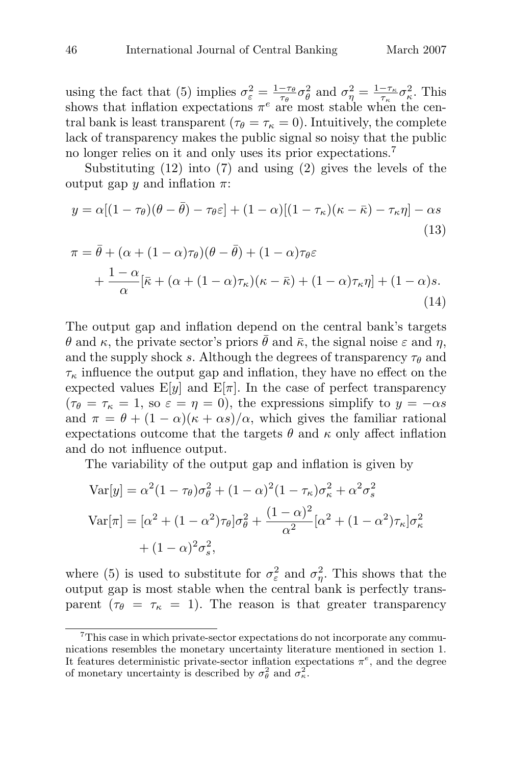using the fact that (5) implies  $\sigma_{\varepsilon}^2 = \frac{1-\tau_{\theta}}{\tau_{\theta}} \sigma_{\theta}^2$  and  $\sigma_{\eta}^2 = \frac{1-\tau_{\kappa}}{\tau_{\kappa}} \sigma_{\kappa}^2$ . This shows that inflation expectations  $\pi^e$  are most stable when the central bank is least transparent ( $\tau_{\theta} = \tau_{\kappa} = 0$ ). Intuitively, the complete lack of transparency makes the public signal so noisy that the public no longer relies on it and only uses its prior expectations.<sup>7</sup>

Substituting (12) into (7) and using (2) gives the levels of the output gap  $\psi$  and inflation  $\pi$ :

$$
y = \alpha[(1 - \tau_{\theta})(\theta - \bar{\theta}) - \tau_{\theta}\varepsilon] + (1 - \alpha)[(1 - \tau_{\kappa})(\kappa - \bar{\kappa}) - \tau_{\kappa}\eta] - \alpha s
$$
\n(13)

$$
\pi = \bar{\theta} + (\alpha + (1 - \alpha)\tau_{\theta})(\theta - \bar{\theta}) + (1 - \alpha)\tau_{\theta}\varepsilon \n+ \frac{1 - \alpha}{\alpha} [\bar{\kappa} + (\alpha + (1 - \alpha)\tau_{\kappa})(\kappa - \bar{\kappa}) + (1 - \alpha)\tau_{\kappa}\eta] + (1 - \alpha)s.
$$
\n(14)

The output gap and inflation depend on the central bank's targets θ and κ, the private sector's priors θ and  $\bar{\kappa}$ , the signal noise  $\varepsilon$  and  $\eta$ , and the supply shock s. Although the degrees of transparency  $\tau_{\theta}$  and  $\tau_{\kappa}$  influence the output gap and inflation, they have no effect on the expected values  $E[y]$  and  $E[\pi]$ . In the case of perfect transparency  $(\tau_{\theta} = \tau_{\kappa} = 1, \text{ so } \varepsilon = \eta = 0), \text{ the expressions simplify to } y = -\alpha s$ and  $\pi = \theta + (1 - \alpha)(\kappa + \alpha s)/\alpha$ , which gives the familiar rational expectations outcome that the targets  $\theta$  and  $\kappa$  only affect inflation and do not influence output.

The variability of the output gap and inflation is given by

$$
\text{Var}[y] = \alpha^2 (1 - \tau_{\theta}) \sigma_{\theta}^2 + (1 - \alpha)^2 (1 - \tau_{\kappa}) \sigma_{\kappa}^2 + \alpha^2 \sigma_{s}^2
$$
\n
$$
\text{Var}[\pi] = [\alpha^2 + (1 - \alpha^2) \tau_{\theta}] \sigma_{\theta}^2 + \frac{(1 - \alpha)^2}{\alpha^2} [\alpha^2 + (1 - \alpha^2) \tau_{\kappa}] \sigma_{\kappa}^2
$$
\n
$$
+ (1 - \alpha)^2 \sigma_{s}^2,
$$

where (5) is used to substitute for  $\sigma_{\varepsilon}^2$  and  $\sigma_{\eta}^2$ . This shows that the output gap is most stable when the central bank is perfectly transparent ( $\tau_{\theta} = \tau_{\kappa} = 1$ ). The reason is that greater transparency

<sup>&</sup>lt;sup>7</sup>This case in which private-sector expectations do not incorporate any communications resembles the monetary uncertainty literature mentioned in section 1. It features deterministic private-sector inflation expectations  $\pi^e$ , and the degree of monetary uncertainty is described by  $\sigma_{\theta}^2$  and  $\sigma_{\kappa}^2$ .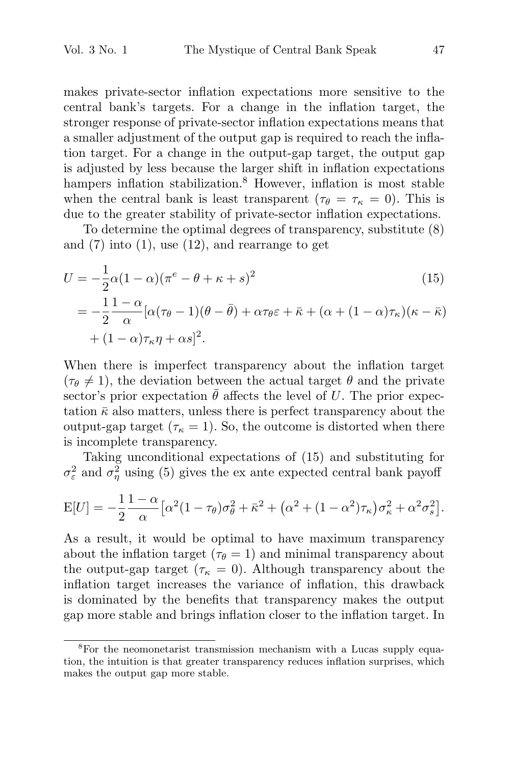makes private-sector inflation expectations more sensitive to the central bank's targets. For a change in the inflation target, the stronger response of private-sector inflation expectations means that a smaller adjustment of the output gap is required to reach the inflation target. For a change in the output-gap target, the output gap is adjusted by less because the larger shift in inflation expectations hampers inflation stabilization.<sup>8</sup> However, inflation is most stable when the central bank is least transparent ( $\tau_{\theta} = \tau_{\kappa} = 0$ ). This is due to the greater stability of private-sector inflation expectations.

To determine the optimal degrees of transparency, substitute (8) and  $(7)$  into  $(1)$ , use  $(12)$ , and rearrange to get

$$
U = -\frac{1}{2}\alpha(1-\alpha)(\pi^e - \theta + \kappa + s)^2
$$
(15)  

$$
= -\frac{1}{2}\frac{1-\alpha}{\alpha}[\alpha(\tau_\theta - 1)(\theta - \bar{\theta}) + \alpha\tau_\theta\varepsilon + \bar{\kappa} + (\alpha + (1-\alpha)\tau_\kappa)(\kappa - \bar{\kappa})
$$

$$
+ (1-\alpha)\tau_\kappa\eta + \alpha s]^2.
$$

When there is imperfect transparency about the inflation target  $(\tau_{\theta} \neq 1)$ , the deviation between the actual target  $\theta$  and the private sector's prior expectation  $\bar{\theta}$  affects the level of U. The prior expectation  $\bar{\kappa}$  also matters, unless there is perfect transparency about the output-gap target ( $\tau_{\kappa} = 1$ ). So, the outcome is distorted when there is incomplete transparency.

Taking unconditional expectations of (15) and substituting for  $\sigma_{\varepsilon}^2$  and  $\sigma_{\eta}^2$  using (5) gives the ex ante expected central bank payoff  $\alpha$ , the outdot ectations<br>ex ante estations<br> $\frac{2}{\theta} + \bar{\kappa}^2 + ($ 

$$
E[U] = -\frac{1}{2} \frac{1-\alpha}{\alpha} \left[ \alpha^2 (1-\tau_{\theta}) \sigma_{\theta}^2 + \bar{\kappa}^2 + (\alpha^2 + (1-\alpha^2)\tau_{\kappa}) \sigma_{\kappa}^2 + \alpha^2 \sigma_{s}^2 \right].
$$

As a result, it would be optimal to have maximum transparency about the inflation target ( $\tau_{\theta} = 1$ ) and minimal transparency about the output-gap target ( $\tau_{\kappa} = 0$ ). Although transparency about the inflation target increases the variance of inflation, this drawback is dominated by the benefits that transparency makes the output gap more stable and brings inflation closer to the inflation target. In

<sup>8</sup>For the neomonetarist transmission mechanism with a Lucas supply equation, the intuition is that greater transparency reduces inflation surprises, which makes the output gap more stable.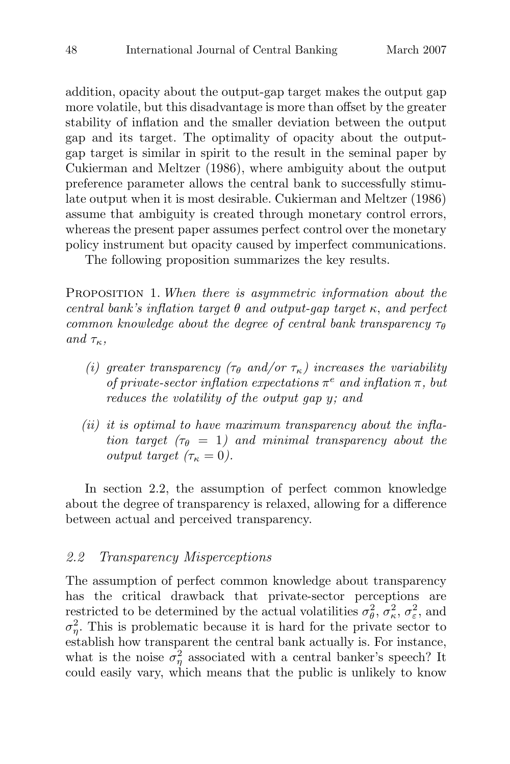addition, opacity about the output-gap target makes the output gap more volatile, but this disadvantage is more than offset by the greater stability of inflation and the smaller deviation between the output gap and its target. The optimality of opacity about the outputgap target is similar in spirit to the result in the seminal paper by Cukierman and Meltzer (1986), where ambiguity about the output preference parameter allows the central bank to successfully stimulate output when it is most desirable. Cukierman and Meltzer (1986) assume that ambiguity is created through monetary control errors, whereas the present paper assumes perfect control over the monetary policy instrument but opacity caused by imperfect communications.

The following proposition summarizes the key results.

PROPOSITION 1. When there is asymmetric information about the central bank's inflation target  $\theta$  and output-gap target  $\kappa$ , and perfect common knowledge about the degree of central bank transparency  $\tau_{\theta}$ and  $\tau_{\kappa}$ ,

- (i) greater transparency ( $\tau_{\theta}$  and/or  $\tau_{\kappa}$ ) increases the variability of private-sector inflation expectations  $\pi^e$  and inflation  $\pi$ , but reduces the volatility of the output gap y; and
- $(ii)$  it is optimal to have maximum transparency about the inflation target ( $\tau_{\theta} = 1$ ) and minimal transparency about the output target  $(\tau_{\kappa} = 0)$ .

In section 2.2, the assumption of perfect common knowledge about the degree of transparency is relaxed, allowing for a difference between actual and perceived transparency.

### 2.2 Transparency Misperceptions

The assumption of perfect common knowledge about transparency has the critical drawback that private-sector perceptions are restricted to be determined by the actual volatilities  $\sigma_{\theta}^2$ ,  $\sigma_{\kappa}^2$ ,  $\sigma_{\varepsilon}^2$ , and  $\sigma_{\eta}^2$ . This is problematic because it is hard for the private sector to establish how transparent the central bank actually is. For instance, what is the noise  $\sigma_{\eta}^2$  associated with a central banker's speech? It could easily vary, which means that the public is unlikely to know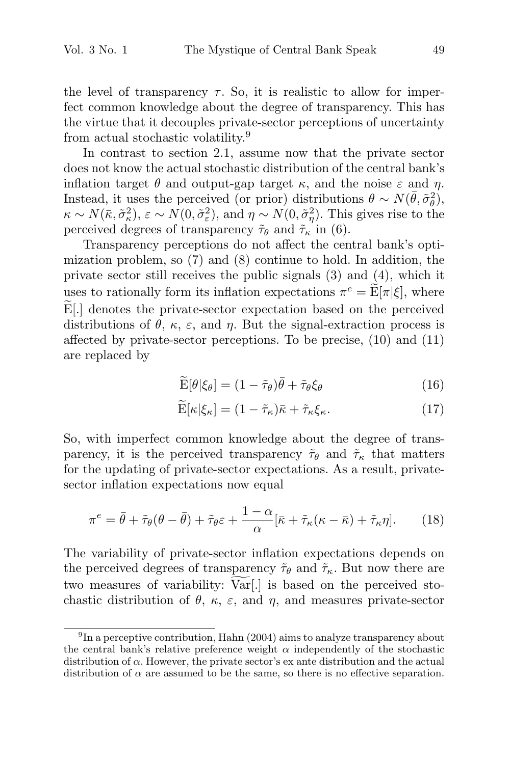the level of transparency  $\tau$ . So, it is realistic to allow for imperfect common knowledge about the degree of transparency. This has the virtue that it decouples private-sector perceptions of uncertainty from actual stochastic volatility.<sup>9</sup>

In contrast to section 2.1, assume now that the private sector does not know the actual stochastic distribution of the central bank's inflation target  $\theta$  and output-gap target  $\kappa$ , and the noise  $\varepsilon$  and  $\eta$ . Instead, it uses the perceived (or prior) distributions  $\theta \sim N(\bar{\theta}, \tilde{\sigma}_{\theta}^2)$ ,  $\kappa \sim N(\bar{\kappa}, \tilde{\sigma}_{\kappa}^2), \varepsilon \sim N(0, \tilde{\sigma}_{\varepsilon}^2), \text{ and } \eta \sim N(0, \tilde{\sigma}_{\eta}^2).$  This gives rise to the perceived degrees of transparency  $\tilde{\tau}_{\theta}$  and  $\tilde{\tau}_{\kappa}$  in (6).

Transparency perceptions do not affect the central bank's optimization problem, so (7) and (8) continue to hold. In addition, the private sector still receives the public signals (3) and (4), which it perceived degrees of transparency  $\tilde{\tau}_{\theta}$  and  $\tilde{\tau}_{\kappa}$  in (6).<br>Transparency perceptions do not affect the central bank's opti-<br>mization problem, so (7) and (8) continue to hold. In addition, the<br>private sector sti Transparency perceptions do not affect the central bank's opti-<br>mization problem, so (7) and (8) continue to hold. In addition, the<br>private sector still receives the public signals (3) and (4), which it<br>uses to rationally  $E[\cdot]$  denotes the private-sector expectation based on the perceived<br>distributions of θ, κ, ε, and η. But the signal-extraction process is<br>affected by private-sector perceptions. To be precise, (10) and (11)<br>are replaced affected by private-sector perceptions. To be precise, (10) and (11)<br>
are replaced by<br>  $\widetilde{E}[\theta|\xi_{\theta}] = (1 - \tilde{\tau}_{\theta})\bar{\theta} + \tilde{\tau}_{\theta}\xi_{\theta}$  (16)<br>  $\widetilde{E}[\kappa|\xi_{\kappa}] = (1 - \tilde{\tau}_{\kappa})\bar{\kappa} + \tilde{\tau}_{\kappa}\xi_{\kappa}.$  (17) are replaced by

$$
\widetilde{\mathcal{E}}[\theta|\xi_{\theta}] = (1 - \tilde{\tau}_{\theta})\bar{\theta} + \tilde{\tau}_{\theta}\xi_{\theta} \tag{16}
$$

$$
\widetilde{\mathbf{E}}[\kappa|\xi_{\kappa}] = (1 - \widetilde{\tau}_{\kappa})\bar{\kappa} + \widetilde{\tau}_{\kappa}\xi_{\kappa}.\tag{17}
$$

So, with imperfect common knowledge about the degree of transparency, it is the perceived transparency  $\tilde{\tau}_{\theta}$  and  $\tilde{\tau}_{\kappa}$  that matters for the updating of private-sector expectations. As a result, privatesector inflation expectations now equal

$$
\pi^e = \bar{\theta} + \tilde{\tau}_{\theta}(\theta - \bar{\theta}) + \tilde{\tau}_{\theta}\varepsilon + \frac{1 - \alpha}{\alpha} [\bar{\kappa} + \tilde{\tau}_{\kappa}(\kappa - \bar{\kappa}) + \tilde{\tau}_{\kappa}\eta]. \tag{18}
$$

The variability of private-sector inflation expectations depends on the perceived degrees of transparency  $\tilde{\tau}_{\theta}$  and  $\tilde{\tau}_{\kappa}$ . But now there are  $\pi^e = \bar{\theta} + \tilde{\tau}_{\theta}(\theta - \bar{\theta}) + \tilde{\tau}_{\theta}\varepsilon + \frac{1-\alpha}{\alpha} [\bar{\kappa} + \tilde{\tau}_{\kappa}(\kappa - \bar{\kappa}) + \tilde{\tau}_{\kappa}\eta].$  (18)<br>The variability of private-sector inflation expectations depends on<br>the perceived degrees of transparency  $\tilde{\tau}_{\theta}$  and chastic distribution of  $\theta$ ,  $\kappa$ ,  $\varepsilon$ , and  $\eta$ , and measures private-sector

 $^{9}$ In a perceptive contribution, Hahn (2004) aims to analyze transparency about the central bank's relative preference weight  $\alpha$  independently of the stochastic distribution of  $\alpha$ . However, the private sector's ex ante distribution and the actual distribution of  $\alpha$  are assumed to be the same, so there is no effective separation.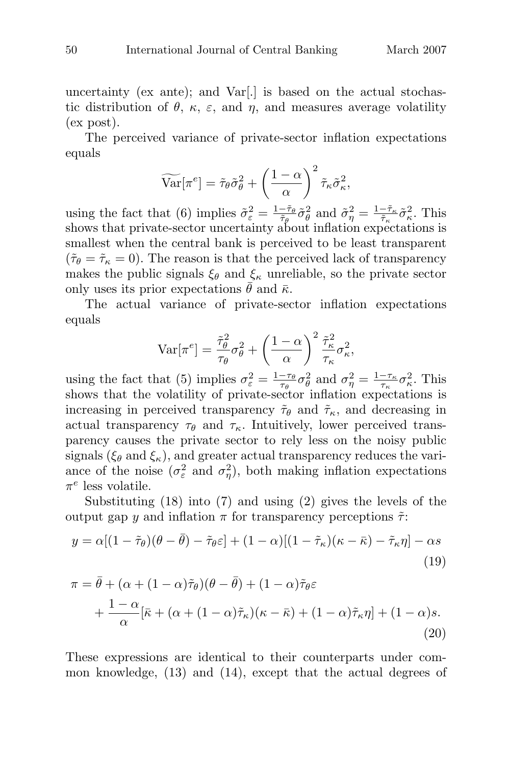uncertainty (ex ante); and  $Var[.]$  is based on the actual stochastic distribution of  $\theta$ ,  $\kappa$ ,  $\varepsilon$ , and  $\eta$ , and measures average volatility (ex post).

The perceived variance of private-sector inflation expectations equals  $\alpha$  v, κ, ε, and<br>d variance of  $\alpha$ <br> $\widehat{\text{Var}}[\pi^e] = \tilde{\tau}_{\theta} \tilde{\sigma}_{\theta}^2$ 

$$
\widetilde{\text{Var}}[\pi^e] = \tilde{\tau}_{\theta} \tilde{\sigma}_{\theta}^2 + \left(\frac{1-\alpha}{\alpha}\right)^2 \tilde{\tau}_{\kappa} \tilde{\sigma}_{\kappa}^2,
$$

using the fact that (6) implies  $\tilde{\sigma}_{\varepsilon}^2 = \frac{1-\tilde{\tau}_{\theta}}{\tilde{\tau}_{\theta}} \tilde{\sigma}_{\theta}^2$  and  $\tilde{\sigma}_{\eta}^2 = \frac{1-\tilde{\tau}_{\kappa}}{\tilde{\tau}_{\kappa}} \tilde{\sigma}_{\kappa}^2$ . This shows that private-sector uncertainty about inflation expectations is smallest when the central bank is perceived to be least transparent  $({\tilde{\tau}}_{\theta} = {\tilde{\tau}}_{\kappa} = 0)$ . The reason is that the perceived lack of transparency makes the public signals  $\xi_{\theta}$  and  $\xi_{\kappa}$  unreliable, so the private sector only uses its prior expectations  $\theta$  and  $\bar{\kappa}$ .

The actual variance of private-sector inflation expectations equals

$$
\text{Var}[\pi^e] = \frac{\tilde{\tau}_{\theta}^2}{\tau_{\theta}} \sigma_{\theta}^2 + \left(\frac{1-\alpha}{\alpha}\right)^2 \frac{\tilde{\tau}_{\kappa}^2}{\tau_{\kappa}} \sigma_{\kappa}^2,
$$

using the fact that (5) implies  $\sigma_{\varepsilon}^2 = \frac{1-\tau_{\theta}}{\tau_{\theta}} \sigma_{\theta}^2$  and  $\sigma_{\eta}^2 = \frac{1-\tau_{\kappa}}{\tau_{\kappa}} \sigma_{\kappa}^2$ . This shows that the volatility of private-sector inflation expectations is increasing in perceived transparency  $\tilde{\tau}_{\theta}$  and  $\tilde{\tau}_{\kappa}$ , and decreasing in actual transparency  $\tau_{\theta}$  and  $\tau_{\kappa}$ . Intuitively, lower perceived transparency causes the private sector to rely less on the noisy public signals ( $\xi_{\theta}$  and  $\xi_{\kappa}$ ), and greater actual transparency reduces the variance of the noise  $(\sigma_{\varepsilon}^2 \text{ and } \sigma_{\eta}^2)$ , both making inflation expectations  $\pi^e$  less volatile.

Substituting (18) into (7) and using (2) gives the levels of the output gap y and inflation π for transparency perceptions  $\tilde{\tau}$ :

$$
y = \alpha[(1 - \tilde{\tau}_{\theta})(\theta - \bar{\theta}) - \tilde{\tau}_{\theta}\varepsilon] + (1 - \alpha)[(1 - \tilde{\tau}_{\kappa})(\kappa - \bar{\kappa}) - \tilde{\tau}_{\kappa}\eta] - \alpha s
$$
\n(19)

$$
\pi = \bar{\theta} + (\alpha + (1 - \alpha)\tilde{\tau}_{\theta})(\theta - \bar{\theta}) + (1 - \alpha)\tilde{\tau}_{\theta}\varepsilon \n+ \frac{1 - \alpha}{\alpha} [\bar{\kappa} + (\alpha + (1 - \alpha)\tilde{\tau}_{\kappa})(\kappa - \bar{\kappa}) + (1 - \alpha)\tilde{\tau}_{\kappa}\eta] + (1 - \alpha)s.
$$
\n(20)

These expressions are identical to their counterparts under common knowledge, (13) and (14), except that the actual degrees of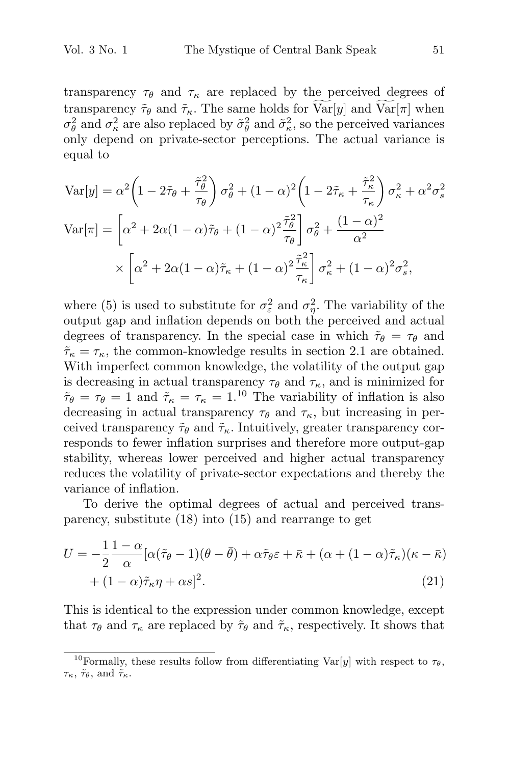transparency  $\tau_{\theta}$  and  $\tau_{\kappa}$  are replaced by the perceived degrees of Vol. 3 No. 1 The Mystique of Central Bank Speak 51<br>transparency  $\tau_{\theta}$  and  $\tau_{\kappa}$  are replaced by the perceived degrees of<br>transparency  $\tilde{\tau}_{\theta}$  and  $\tilde{\tau}_{\kappa}$ . The same holds for  $\widehat{\text{Var}}[y]$  and  $\widehat{\text{Var}}[\pi]$  $\sigma_{\theta}^2$  and  $\sigma_{\kappa}^2$  are also replaced by  $\tilde{\sigma}_{\theta}^2$  and  $\tilde{\sigma}_{\kappa}^2$ , so the perceived variances only depend on private-sector perceptions. The actual variance is equal to

Any dependent on private-section perceptions. The actual variance is equal to

\n
$$
\text{Var}[y] = \alpha^2 \left( 1 - 2\tilde{\tau}_{\theta} + \frac{\tilde{\tau}_{\theta}^2}{\tau_{\theta}} \right) \sigma_{\theta}^2 + (1 - \alpha)^2 \left( 1 - 2\tilde{\tau}_{\kappa} + \frac{\tilde{\tau}_{\kappa}^2}{\tau_{\kappa}} \right) \sigma_{\kappa}^2 + \alpha^2 \sigma_{s}^2
$$
\n
$$
\text{Var}[\pi] = \left[ \alpha^2 + 2\alpha (1 - \alpha)\tilde{\tau}_{\theta} + (1 - \alpha)^2 \frac{\tilde{\tau}_{\theta}^2}{\tau_{\theta}} \right] \sigma_{\theta}^2 + \frac{(1 - \alpha)^2}{\alpha^2}
$$
\n
$$
\times \left[ \alpha^2 + 2\alpha (1 - \alpha)\tilde{\tau}_{\kappa} + (1 - \alpha)^2 \frac{\tilde{\tau}_{\kappa}^2}{\tau_{\kappa}} \right] \sigma_{\kappa}^2 + (1 - \alpha)^2 \sigma_{s}^2,
$$

where (5) is used to substitute for  $\sigma_{\varepsilon}^2$  and  $\sigma_{\eta}^2$ . The variability of the output gap and inflation depends on both the perceived and actual degrees of transparency. In the special case in which  $\tilde{\tau}_{\theta} = \tau_{\theta}$  and  $\tilde{\tau}_{\kappa} = \tau_{\kappa}$ , the common-knowledge results in section 2.1 are obtained. With imperfect common knowledge, the volatility of the output gap is decreasing in actual transparency  $\tau_{\theta}$  and  $\tau_{\kappa}$ , and is minimized for  $\tilde{\tau}_{\theta} = \tau_{\theta} = 1$  and  $\tilde{\tau}_{\kappa} = \tau_{\kappa} = 1$ .<sup>10</sup> The variability of inflation is also decreasing in actual transparency  $\tau_{\theta}$  and  $\tau_{\kappa}$ , but increasing in perceived transparency  $\tilde{\tau}_{\theta}$  and  $\tilde{\tau}_{\kappa}$ . Intuitively, greater transparency corresponds to fewer inflation surprises and therefore more output-gap stability, whereas lower perceived and higher actual transparency reduces the volatility of private-sector expectations and thereby the variance of inflation.

To derive the optimal degrees of actual and perceived transparency, substitute (18) into (15) and rearrange to get

$$
U = -\frac{1}{2} \frac{1 - \alpha}{\alpha} [\alpha(\tilde{\tau}_{\theta} - 1)(\theta - \bar{\theta}) + \alpha \tilde{\tau}_{\theta} \varepsilon + \bar{\kappa} + (\alpha + (1 - \alpha)\tilde{\tau}_{\kappa})(\kappa - \bar{\kappa})
$$
  
+  $(1 - \alpha)\tilde{\tau}_{\kappa}\eta + \alpha s]^2$ . (21)

This is identical to the expression under common knowledge, except that  $\tau_{\theta}$  and  $\tau_{\kappa}$  are replaced by  $\tilde{\tau}_{\theta}$  and  $\tilde{\tau}_{\kappa}$ , respectively. It shows that

<sup>&</sup>lt;sup>10</sup>Formally, these results follow from differentiating Var[y] with respect to  $\tau_{\theta}$ ,  $\tau_{\kappa}$ ,  $\tilde{\tau}_{\theta}$ , and  $\tilde{\tau}_{\kappa}$ .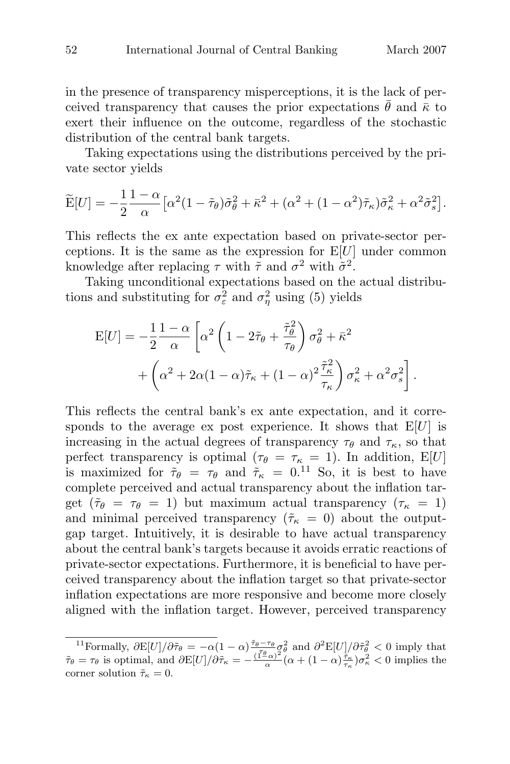in the presence of transparency misperceptions, it is the lack of perceived transparency that causes the prior expectations  $\bar{\theta}$  and  $\bar{\kappa}$  to exert their influence on the outcome, regardless of the stochastic distribution of the central bank targets.

Taking expectations using the distributions perceived by the private sector yields distribution<br>Taking<br>
vate sector<br>  $\widetilde{\mathbf{E}}[U] = -\frac{1}{2}$ 

$$
\widetilde{\mathcal{E}}[U] = -\frac{1}{2} \frac{1-\alpha}{\alpha} \Big[ \alpha^2 (1-\widetilde{\tau}_{\theta}) \widetilde{\sigma}_{\theta}^2 + \overline{\kappa}^2 + (\alpha^2 + (1-\alpha^2)\widetilde{\tau}_{\kappa}) \widetilde{\sigma}_{\kappa}^2 + \alpha^2 \widetilde{\sigma}_{s}^2 \Big].
$$

This reflects the ex ante expectation based on private-sector perceptions. It is the same as the expression for  $E[U]$  under common knowledge after replacing  $\tau$  with  $\tilde{\tau}$  and  $\sigma^2$  with  $\tilde{\sigma}^2$ .

Taking unconditional expectations based on the actual distribu-<br>see and substituting for  $\sigma^2$  and  $\sigma^2$  using (5) violds tions and substituting for  $\sigma_{\epsilon}^2$  and  $\sigma_{\eta}^2$  using (5) yields

$$
\mathcal{E}[U] = -\frac{1}{2} \frac{1-\alpha}{\alpha} \left[ \alpha^2 \left( 1 - 2\tilde{\tau}_{\theta} + \frac{\tilde{\tau}_{\theta}^2}{\tau_{\theta}} \right) \sigma_{\theta}^2 + \bar{\kappa}^2 \right. \\
\left. + \left( \alpha^2 + 2\alpha (1-\alpha)\tilde{\tau}_{\kappa} + (1-\alpha)^2 \frac{\tilde{\tau}_{\kappa}^2}{\tau_{\kappa}} \right) \sigma_{\kappa}^2 + \alpha^2 \sigma_{s}^2 \right].
$$

This reflects the central bank's ex ante expectation, and it corresponds to the average ex post experience. It shows that  $E[U]$  is increasing in the actual degrees of transparency  $\tau_{\theta}$  and  $\tau_{\kappa}$ , so that perfect transparency is optimal ( $\tau_{\theta} = \tau_{\kappa} = 1$ ). In addition, E[U] is maximized for  $\tilde{\tau}_{\theta} = \tau_{\theta}$  and  $\tilde{\tau}_{\kappa} = 0.11$  So, it is best to have complete perceived and actual transparency about the inflation target  $(\tilde{\tau}_{\theta} = \tau_{\theta} = 1)$  but maximum actual transparency  $(\tau_{\kappa} = 1)$ and minimal perceived transparency ( $\tilde{\tau}_{\kappa} = 0$ ) about the outputgap target. Intuitively, it is desirable to have actual transparency about the central bank's targets because it avoids erratic reactions of private-sector expectations. Furthermore, it is beneficial to have perceived transparency about the inflation target so that private-sector inflation expectations are more responsive and become more closely aligned with the inflation target. However, perceived transparency

<sup>&</sup>lt;sup>11</sup>Formally,  $\partial E[U]/\partial \tilde{\tau}_{\theta} = -\alpha(1-\alpha) \frac{\tilde{\tau}_{\theta}-\tau_{\theta}}{\alpha} \sigma_{\theta}^2$  and  $\partial^2 E[U]/\partial \tilde{\tau}_{\theta}^2 < 0$  imply that  $\tilde{\tau}_{\theta} = \tau_{\theta}$  is optimal, and  $\partial E[U]/\partial \tilde{\tau}_{\kappa} = -\frac{(\tilde{\tau}_{\theta}^{\theta}-\alpha)^2}{\alpha} (\alpha + (1-\alpha) \frac{\tilde{\tau}_{\kappa}}{\tau_{\kappa}}) \sigma_{$ corner solution  $\tilde{\tau}_{\kappa} = 0$ .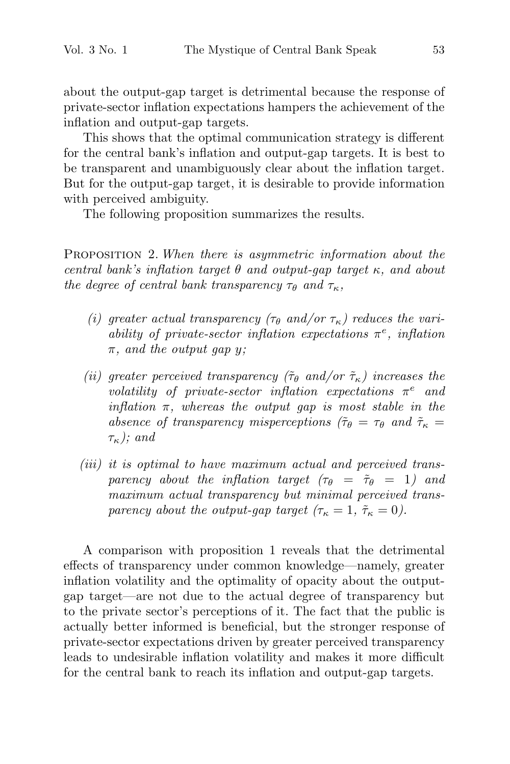about the output-gap target is detrimental because the response of private-sector inflation expectations hampers the achievement of the inflation and output-gap targets.

This shows that the optimal communication strategy is different for the central bank's inflation and output-gap targets. It is best to be transparent and unambiguously clear about the inflation target. But for the output-gap target, it is desirable to provide information with perceived ambiguity.

The following proposition summarizes the results.

PROPOSITION 2. When there is asymmetric information about the central bank's inflation target  $\theta$  and output-gap target  $\kappa$ , and about the degree of central bank transparency  $\tau_{\theta}$  and  $\tau_{\kappa}$ ,

- (i) greater actual transparency ( $\tau_{\theta}$  and/or  $\tau_{\kappa}$ ) reduces the variability of private-sector inflation expectations  $\pi^e$ , inflation  $\pi$ , and the output gap y;
- (ii) greater perceived transparency ( $\tilde{\tau}_{\theta}$  and/or  $\tilde{\tau}_{\kappa}$ ) increases the volatility of private-sector inflation expectations  $\pi^e$  and inflation  $\pi$ , whereas the output gap is most stable in the absence of transparency misperceptions ( $\tilde{\tau}_{\theta} = \tau_{\theta}$  and  $\tilde{\tau}_{\kappa} =$  $\tau_{\kappa}$ ); and
- (iii) it is optimal to have maximum actual and perceived transparency about the inflation target  $(\tau_{\theta} = \tilde{\tau}_{\theta} = 1)$  and maximum actual transparency but minimal perceived transparency about the output-gap target  $(\tau_{\kappa} = 1, \tilde{\tau}_{\kappa} = 0).$

A comparison with proposition 1 reveals that the detrimental effects of transparency under common knowledge—namely, greater inflation volatility and the optimality of opacity about the outputgap target—are not due to the actual degree of transparency but to the private sector's perceptions of it. The fact that the public is actually better informed is beneficial, but the stronger response of private-sector expectations driven by greater perceived transparency leads to undesirable inflation volatility and makes it more difficult for the central bank to reach its inflation and output-gap targets.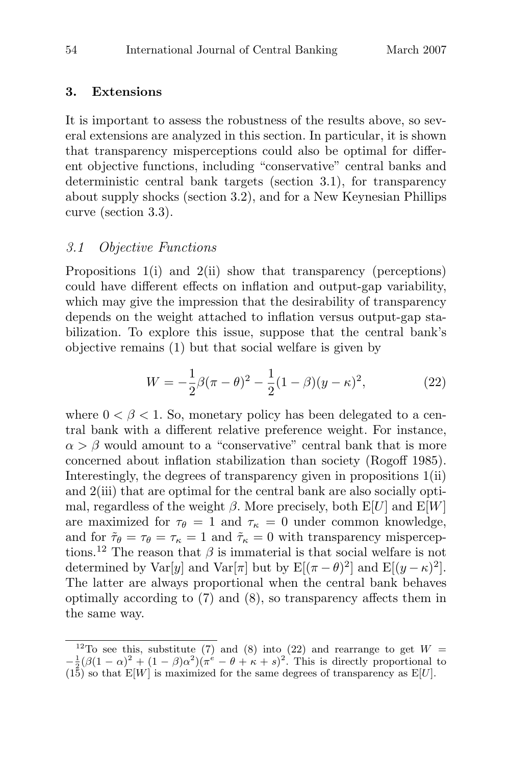#### **3. Extensions**

It is important to assess the robustness of the results above, so several extensions are analyzed in this section. In particular, it is shown that transparency misperceptions could also be optimal for different objective functions, including "conservative" central banks and deterministic central bank targets (section 3.1), for transparency about supply shocks (section 3.2), and for a New Keynesian Phillips curve (section 3.3).

## 3.1 Objective Functions

Propositions 1(i) and 2(ii) show that transparency (perceptions) could have different effects on inflation and output-gap variability, which may give the impression that the desirability of transparency depends on the weight attached to inflation versus output-gap stabilization. To explore this issue, suppose that the central bank's objective remains (1) but that social welfare is given by

$$
W = -\frac{1}{2}\beta(\pi - \theta)^2 - \frac{1}{2}(1 - \beta)(y - \kappa)^2,
$$
 (22)

where  $0 < \beta < 1$ . So, monetary policy has been delegated to a central bank with a different relative preference weight. For instance,  $\alpha > \beta$  would amount to a "conservative" central bank that is more concerned about inflation stabilization than society (Rogoff 1985). Interestingly, the degrees of transparency given in propositions 1(ii) and 2(iii) that are optimal for the central bank are also socially optimal, regardless of the weight  $\beta$ . More precisely, both E[U] and E[W] are maximized for  $\tau_{\theta} = 1$  and  $\tau_{\kappa} = 0$  under common knowledge, and for  $\tilde{\tau}_{\theta} = \tau_{\theta} = \tau_{\kappa} = 1$  and  $\tilde{\tau}_{\kappa} = 0$  with transparency misperceptions.<sup>12</sup> The reason that  $\beta$  is immaterial is that social welfare is not determined by Var[y] and Var[ $\pi$ ] but by E[( $\pi - \theta$ )<sup>2</sup>] and E[( $y - \kappa$ )<sup>2</sup>]. The latter are always proportional when the central bank behaves optimally according to (7) and (8), so transparency affects them in the same way.

<sup>&</sup>lt;sup>12</sup>To see this, substitute (7) and (8) into (22) and rearrange to get  $W =$  $-\frac{1}{2}(\beta(1-\alpha)^2+(1-\beta)\alpha^2)(\pi^e-\theta+\kappa+s)^2$ . This is directly proportional to  $(15)$  so that E[W] is maximized for the same degrees of transparency as E[U].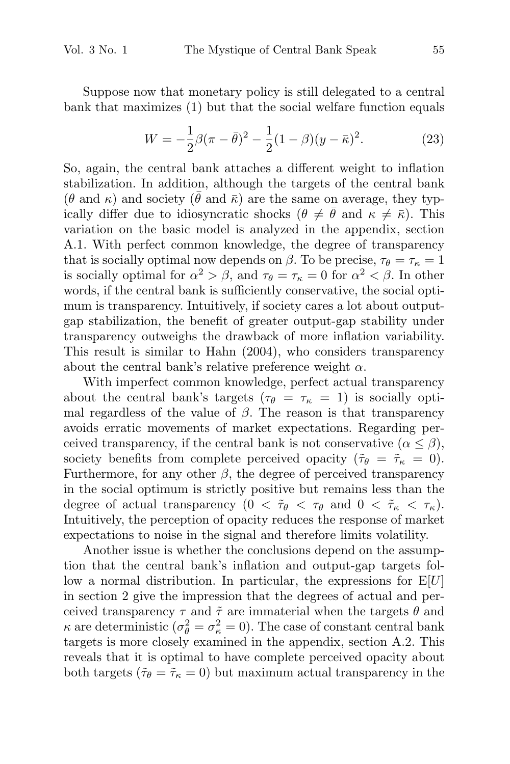Suppose now that monetary policy is still delegated to a central bank that maximizes (1) but that the social welfare function equals

$$
W = -\frac{1}{2}\beta(\pi - \bar{\theta})^2 - \frac{1}{2}(1 - \beta)(y - \bar{\kappa})^2.
$$
 (23)

So, again, the central bank attaches a different weight to inflation stabilization. In addition, although the targets of the central bank  $(\theta \text{ and } \kappa)$  and society  $(\bar{\theta} \text{ and } \bar{\kappa})$  are the same on average, they typically differ due to idiosyncratic shocks  $(\theta \neq \bar{\theta} \text{ and } \kappa \neq \bar{\kappa})$ . This variation on the basic model is analyzed in the appendix, section A.1. With perfect common knowledge, the degree of transparency that is socially optimal now depends on  $\beta$ . To be precise,  $\tau_{\theta} = \tau_{\kappa} = 1$ is socially optimal for  $\alpha^2 > \beta$ , and  $\tau_{\theta} = \tau_{\kappa} = 0$  for  $\alpha^2 < \beta$ . In other words, if the central bank is sufficiently conservative, the social optimum is transparency. Intuitively, if society cares a lot about outputgap stabilization, the benefit of greater output-gap stability under transparency outweighs the drawback of more inflation variability. This result is similar to Hahn (2004), who considers transparency about the central bank's relative preference weight  $\alpha$ .

With imperfect common knowledge, perfect actual transparency about the central bank's targets ( $\tau_{\theta} = \tau_{\kappa} = 1$ ) is socially optimal regardless of the value of  $\beta$ . The reason is that transparency avoids erratic movements of market expectations. Regarding perceived transparency, if the central bank is not conservative  $(\alpha \leq \beta)$ , society benefits from complete perceived opacity ( $\tilde{\tau}_{\theta} = \tilde{\tau}_{\kappa} = 0$ ). Furthermore, for any other  $\beta$ , the degree of perceived transparency in the social optimum is strictly positive but remains less than the degree of actual transparency  $(0 < \tilde{\tau}_{\theta} < \tau_{\theta} \text{ and } 0 < \tilde{\tau}_{\kappa} < \tau_{\kappa}).$ Intuitively, the perception of opacity reduces the response of market expectations to noise in the signal and therefore limits volatility.

Another issue is whether the conclusions depend on the assumption that the central bank's inflation and output-gap targets follow a normal distribution. In particular, the expressions for  $E[U]$ in section 2 give the impression that the degrees of actual and perceived transparency  $\tau$  and  $\tilde{\tau}$  are immaterial when the targets  $\theta$  and  $\kappa$  are deterministic  $(\sigma_{\theta}^2 = \sigma_{\kappa}^2 = 0)$ . The case of constant central bank targets is more closely examined in the appendix, section A.2. This reveals that it is optimal to have complete perceived opacity about both targets ( $\tilde{\tau}_{\theta} = \tilde{\tau}_{\kappa} = 0$ ) but maximum actual transparency in the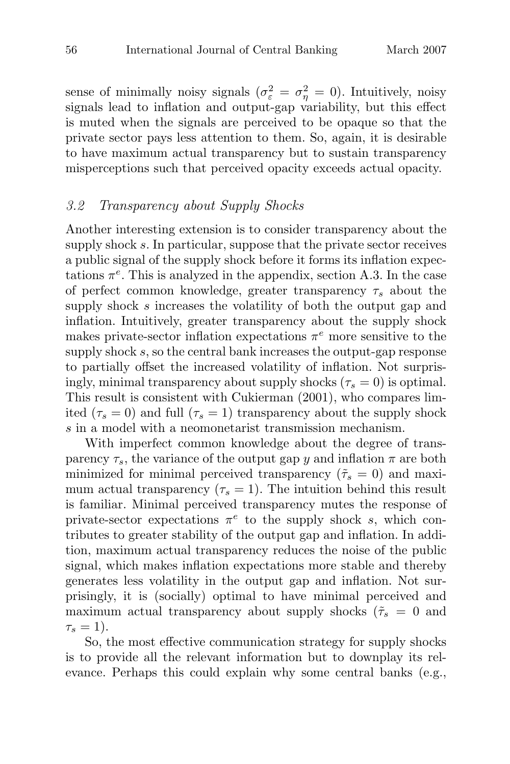sense of minimally noisy signals  $(\sigma_{\varepsilon}^2 = \sigma_{\eta}^2 = 0)$ . Intuitively, noisy signals lead to inflation and output-gap variability, but this effect is muted when the signals are perceived to be opaque so that the private sector pays less attention to them. So, again, it is desirable to have maximum actual transparency but to sustain transparency misperceptions such that perceived opacity exceeds actual opacity.

#### 3.2 Transparency about Supply Shocks

Another interesting extension is to consider transparency about the supply shock s. In particular, suppose that the private sector receives a public signal of the supply shock before it forms its inflation expectations  $\pi^e$ . This is analyzed in the appendix, section A.3. In the case of perfect common knowledge, greater transparency  $\tau_s$  about the supply shock s increases the volatility of both the output gap and inflation. Intuitively, greater transparency about the supply shock makes private-sector inflation expectations  $\pi^e$  more sensitive to the supply shock s, so the central bank increases the output-gap response to partially offset the increased volatility of inflation. Not surprisingly, minimal transparency about supply shocks ( $\tau_s = 0$ ) is optimal. This result is consistent with Cukierman (2001), who compares limited ( $\tau_s = 0$ ) and full ( $\tau_s = 1$ ) transparency about the supply shock s in a model with a neomonetarist transmission mechanism.

With imperfect common knowledge about the degree of transparency  $\tau_s$ , the variance of the output gap y and inflation  $\pi$  are both minimized for minimal perceived transparency ( $\tilde{\tau}_s = 0$ ) and maximum actual transparency  $(\tau_s = 1)$ . The intuition behind this result is familiar. Minimal perceived transparency mutes the response of private-sector expectations  $\pi^e$  to the supply shock s, which contributes to greater stability of the output gap and inflation. In addition, maximum actual transparency reduces the noise of the public signal, which makes inflation expectations more stable and thereby generates less volatility in the output gap and inflation. Not surprisingly, it is (socially) optimal to have minimal perceived and maximum actual transparency about supply shocks ( $\tilde{\tau}_s = 0$  and  $\tau_{\rm s}=1$ ).

So, the most effective communication strategy for supply shocks is to provide all the relevant information but to downplay its relevance. Perhaps this could explain why some central banks (e.g.,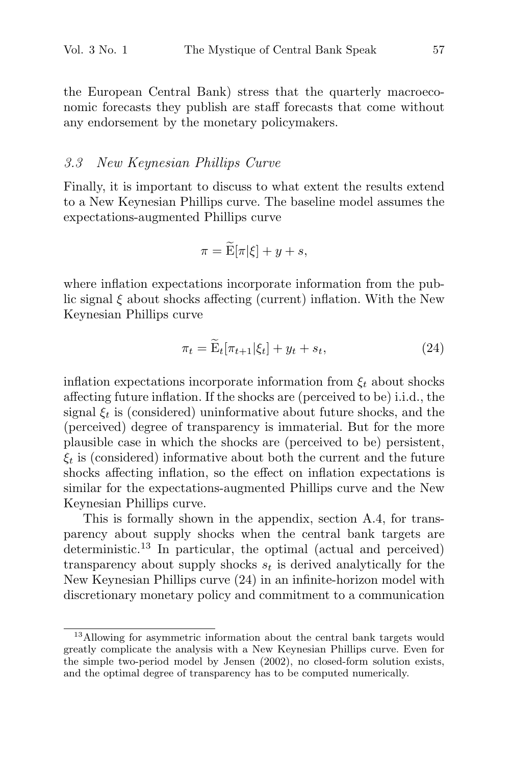the European Central Bank) stress that the quarterly macroeconomic forecasts they publish are staff forecasts that come without any endorsement by the monetary policymakers.

### 3.3 New Keynesian Phillips Curve

Finally, it is important to discuss to what extent the results extend<br>to a New Keynesian Phillips curve. The baseline model assumes the<br>expectations-augmented Phillips curve<br> $\pi = \widetilde{\mathbf{E}}[\pi|\xi] + y + s,$ to a New Keynesian Phillips curve. The baseline model assumes the expectations-augmented Phillips curve

$$
\pi = \widetilde{\mathbf{E}}[\pi|\xi] + y + s,
$$

where inflation expectations incorporate information from the public signal ξ about shocks affecting (current) inflation. With the New Keynesian Phillips curve tations incorporate information from the pub-<br>cks affecting (current) inflation. With the New<br>grve<br> $\pi_t = \widetilde{E}_t[\pi_{t+1}|\xi_t] + y_t + s_t,$  (24)

$$
\pi_t = \widetilde{\mathbf{E}}_t[\pi_{t+1}|\xi_t] + y_t + s_t,\tag{24}
$$

inflation expectations incorporate information from  $\xi_t$  about shocks affecting future inflation. If the shocks are (perceived to be) i.i.d., the signal  $\xi_t$  is (considered) uninformative about future shocks, and the (perceived) degree of transparency is immaterial. But for the more plausible case in which the shocks are (perceived to be) persistent,  $\xi_t$  is (considered) informative about both the current and the future shocks affecting inflation, so the effect on inflation expectations is similar for the expectations-augmented Phillips curve and the New Keynesian Phillips curve.

This is formally shown in the appendix, section A.4, for transparency about supply shocks when the central bank targets are deterministic.<sup>13</sup> In particular, the optimal (actual and perceived) transparency about supply shocks  $s_t$  is derived analytically for the New Keynesian Phillips curve (24) in an infinite-horizon model with discretionary monetary policy and commitment to a communication

<sup>&</sup>lt;sup>13</sup>Allowing for asymmetric information about the central bank targets would greatly complicate the analysis with a New Keynesian Phillips curve. Even for the simple two-period model by Jensen (2002), no closed-form solution exists, and the optimal degree of transparency has to be computed numerically.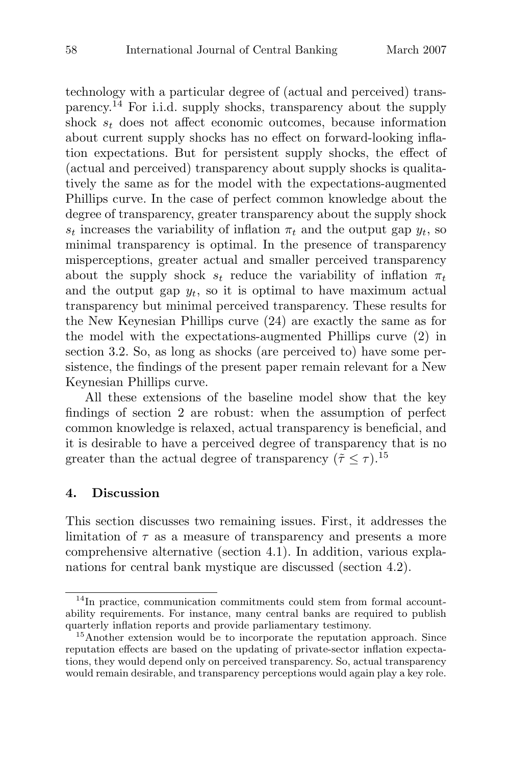technology with a particular degree of (actual and perceived) transparency.<sup>14</sup> For i.i.d. supply shocks, transparency about the supply shock  $s_t$  does not affect economic outcomes, because information about current supply shocks has no effect on forward-looking inflation expectations. But for persistent supply shocks, the effect of (actual and perceived) transparency about supply shocks is qualitatively the same as for the model with the expectations-augmented Phillips curve. In the case of perfect common knowledge about the degree of transparency, greater transparency about the supply shock  $s_t$  increases the variability of inflation  $\pi_t$  and the output gap  $y_t$ , so minimal transparency is optimal. In the presence of transparency misperceptions, greater actual and smaller perceived transparency about the supply shock  $s_t$  reduce the variability of inflation  $\pi_t$ and the output gap  $y_t$ , so it is optimal to have maximum actual transparency but minimal perceived transparency. These results for the New Keynesian Phillips curve (24) are exactly the same as for the model with the expectations-augmented Phillips curve (2) in section 3.2. So, as long as shocks (are perceived to) have some persistence, the findings of the present paper remain relevant for a New Keynesian Phillips curve.

All these extensions of the baseline model show that the key findings of section 2 are robust: when the assumption of perfect common knowledge is relaxed, actual transparency is beneficial, and it is desirable to have a perceived degree of transparency that is no greater than the actual degree of transparency ( $\tilde{\tau} \leq \tau$ ).<sup>15</sup>

## **4. Discussion**

This section discusses two remaining issues. First, it addresses the limitation of  $\tau$  as a measure of transparency and presents a more comprehensive alternative (section 4.1). In addition, various explanations for central bank mystique are discussed (section 4.2).

<sup>&</sup>lt;sup>14</sup>In practice, communication commitments could stem from formal accountability requirements. For instance, many central banks are required to publish quarterly inflation reports and provide parliamentary testimony.<br><sup>15</sup>Another extension would be to incorporate the reputation approach. Since

reputation effects are based on the updating of private-sector inflation expectations, they would depend only on perceived transparency. So, actual transparency would remain desirable, and transparency perceptions would again play a key role.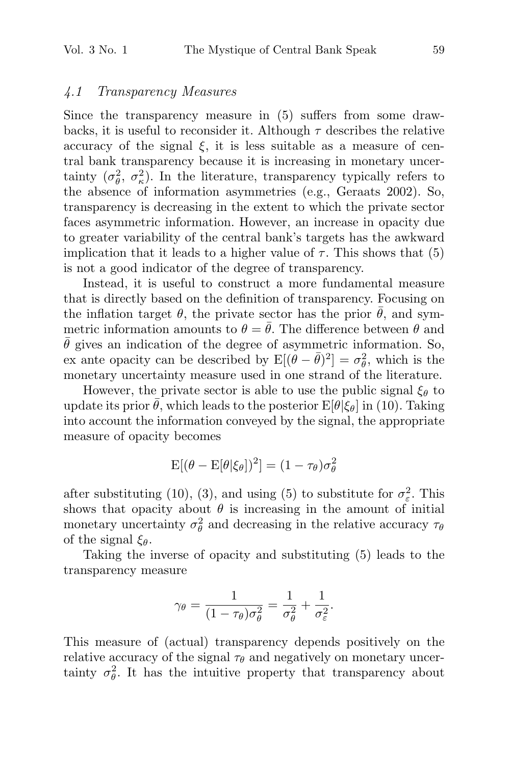## 4.1 Transparency Measures

Since the transparency measure in (5) suffers from some drawbacks, it is useful to reconsider it. Although  $\tau$  describes the relative accuracy of the signal  $\xi$ , it is less suitable as a measure of central bank transparency because it is increasing in monetary uncertainty  $(\sigma_{\theta}^2, \sigma_{\kappa}^2)$ . In the literature, transparency typically refers to the absence of information asymmetries (e.g., Geraats 2002). So, transparency is decreasing in the extent to which the private sector faces asymmetric information. However, an increase in opacity due to greater variability of the central bank's targets has the awkward implication that it leads to a higher value of  $\tau$ . This shows that (5) is not a good indicator of the degree of transparency.

Instead, it is useful to construct a more fundamental measure that is directly based on the definition of transparency. Focusing on the inflation target  $\theta$ , the private sector has the prior  $\bar{\theta}$ , and symmetric information amounts to  $\theta = \theta$ . The difference between  $\theta$  and  $\bar{\theta}$  gives an indication of the degree of asymmetric information. So, ex ante opacity can be described by  $E[(\hat{\theta} - \bar{\theta})^2] = \sigma_{\theta}^2$ , which is the monetary uncertainty measure used in one strand of the literature.

However, the private sector is able to use the public signal  $\xi_{\theta}$  to update its prior  $\bar{\theta}$ , which leads to the posterior  $E[\theta|\xi_{\theta}]$  in (10). Taking into account the information conveyed by the signal, the appropriate measure of opacity becomes

$$
E[(\theta - E[\theta | \xi_{\theta}])^{2}] = (1 - \tau_{\theta})\sigma_{\theta}^{2}
$$

after substituting (10), (3), and using (5) to substitute for  $\sigma_{\varepsilon}^2$ . This shows that opacity about  $\theta$  is increasing in the amount of initial monetary uncertainty  $\sigma_{\theta}^2$  and decreasing in the relative accuracy  $\tau_{\theta}$ of the signal  $\xi_{\theta}$ .

Taking the inverse of opacity and substituting (5) leads to the transparency measure

$$
\gamma_{\theta} = \frac{1}{(1 - \tau_{\theta})\sigma_{\theta}^2} = \frac{1}{\sigma_{\theta}^2} + \frac{1}{\sigma_{\varepsilon}^2}.
$$

This measure of (actual) transparency depends positively on the relative accuracy of the signal  $\tau_{\theta}$  and negatively on monetary uncertainty  $\sigma_{\theta}^2$ . It has the intuitive property that transparency about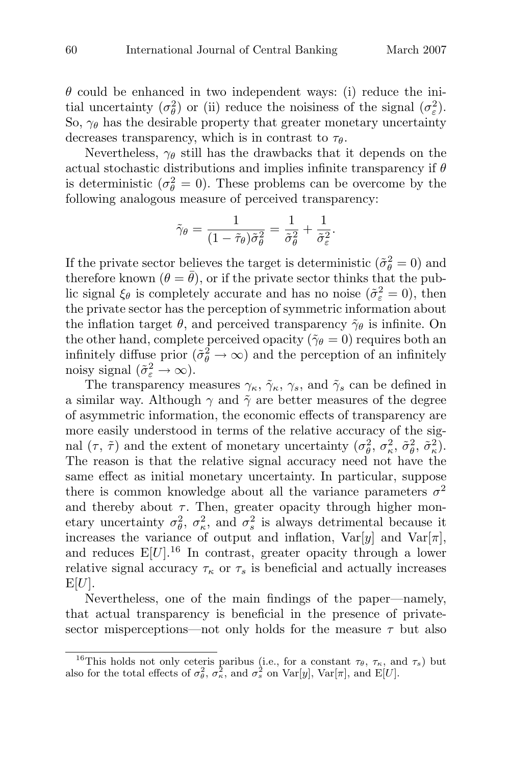$\theta$  could be enhanced in two independent ways: (i) reduce the initial uncertainty  $(\sigma_{\theta}^2)$  or (ii) reduce the noisiness of the signal  $(\sigma_{\varepsilon}^2)$ . So,  $\gamma_{\theta}$  has the desirable property that greater monetary uncertainty decreases transparency, which is in contrast to  $\tau_{\theta}$ .

Nevertheless,  $\gamma_{\theta}$  still has the drawbacks that it depends on the actual stochastic distributions and implies infinite transparency if  $\theta$ is deterministic ( $\sigma_{\theta}^2 = 0$ ). These problems can be overcome by the following analogous measure of perceived transparency:

$$
\tilde{\gamma}_{\theta} = \frac{1}{(1 - \tilde{\tau}_{\theta})\tilde{\sigma}_{\theta}^2} = \frac{1}{\tilde{\sigma}_{\theta}^2} + \frac{1}{\tilde{\sigma}_{\varepsilon}^2}.
$$

If the private sector believes the target is deterministic  $(\tilde{\sigma}_{\theta}^2 = 0)$  and therefore known  $(\theta = \bar{\theta})$ , or if the private sector thinks that the public signal  $\xi_{\theta}$  is completely accurate and has no noise  $(\tilde{\sigma}_{\varepsilon}^2 = 0)$ , then the private sector has the perception of symmetric information about the inflation target  $\theta$ , and perceived transparency  $\tilde{\gamma}_{\theta}$  is infinite. On the other hand, complete perceived opacity ( $\tilde{\gamma}_{\theta} = 0$ ) requires both an infinitely diffuse prior  $(\tilde{\sigma}_{\theta}^2 \to \infty)$  and the perception of an infinitely noisy signal  $(\tilde{\sigma}_{\varepsilon}^2 \to \infty)$ .

The transparency measures  $\gamma_{\kappa}, \tilde{\gamma}_{\kappa}, \gamma_{s}$ , and  $\tilde{\gamma}_{s}$  can be defined in a similar way. Although  $\gamma$  and  $\tilde{\gamma}$  are better measures of the degree of asymmetric information, the economic effects of transparency are more easily understood in terms of the relative accuracy of the signal  $(\tau, \tilde{\tau})$  and the extent of monetary uncertainty  $(\sigma_{\theta}^2, \sigma_{\kappa}^2, \tilde{\sigma}_{\theta}^2, \tilde{\sigma}_{\kappa}^2)$ . The reason is that the relative signal accuracy need not have the same effect as initial monetary uncertainty. In particular, suppose there is common knowledge about all the variance parameters  $\sigma^2$ and thereby about  $\tau$ . Then, greater opacity through higher monetary uncertainty  $\sigma_{\theta}^2$ ,  $\sigma_{\kappa}^2$ , and  $\sigma_{s}^2$  is always detrimental because it increases the variance of output and inflation,  $Var[y]$  and  $Var[\pi]$ , and reduces  $E[U]$ .<sup>16</sup> In contrast, greater opacity through a lower relative signal accuracy  $\tau_{\kappa}$  or  $\tau_{s}$  is beneficial and actually increases  $E[U]$ .

Nevertheless, one of the main findings of the paper—namely, that actual transparency is beneficial in the presence of privatesector misperceptions—not only holds for the measure  $\tau$  but also

<sup>&</sup>lt;sup>16</sup>This holds not only ceteris paribus (i.e., for a constant  $\tau_{\theta}$ ,  $\tau_{\kappa}$ , and  $\tau_{s}$ ) but also for the total effects of  $\sigma_{\theta}^2$ ,  $\sigma_{\kappa}^2$ , and  $\sigma_{s}^2$  on  $\text{Var}[y]$ ,  $\text{Var}[\pi]$ , and  $\text{E}[U]$ .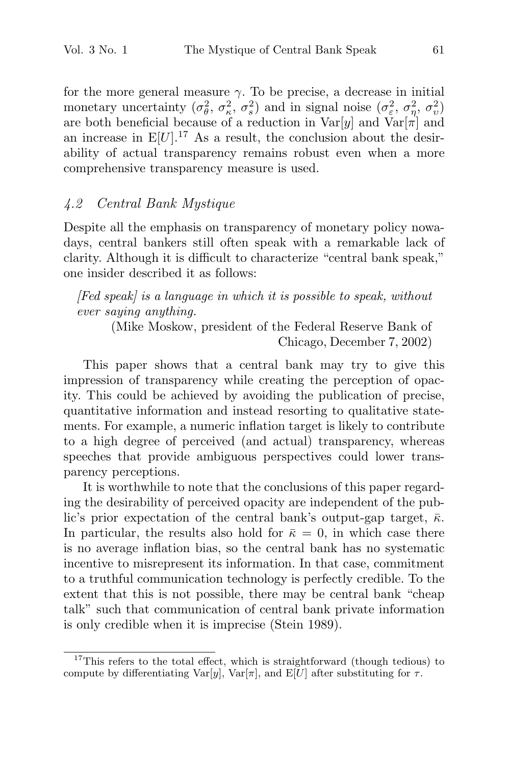for the more general measure  $\gamma$ . To be precise, a decrease in initial monetary uncertainty  $(\sigma_{\theta}^2, \sigma_{\kappa}^2, \sigma_{s}^2)$  and in signal noise  $(\sigma_{\varepsilon}^2, \sigma_{\eta}^2, \sigma_{v}^2)$ are both beneficial because of a reduction in  $Var[y]$  and  $Var[\pi]$  and an increase in  $E[U]$ .<sup>17</sup> As a result, the conclusion about the desirability of actual transparency remains robust even when a more comprehensive transparency measure is used.

## 4.2 Central Bank Mystique

Despite all the emphasis on transparency of monetary policy nowadays, central bankers still often speak with a remarkable lack of clarity. Although it is difficult to characterize "central bank speak," one insider described it as follows:

 $[Fed\ speak]$  is a language in which it is possible to speak, without ever saying anything.

(Mike Moskow, president of the Federal Reserve Bank of Chicago, December 7, 2002)

This paper shows that a central bank may try to give this impression of transparency while creating the perception of opacity. This could be achieved by avoiding the publication of precise, quantitative information and instead resorting to qualitative statements. For example, a numeric inflation target is likely to contribute to a high degree of perceived (and actual) transparency, whereas speeches that provide ambiguous perspectives could lower transparency perceptions.

It is worthwhile to note that the conclusions of this paper regarding the desirability of perceived opacity are independent of the public's prior expectation of the central bank's output-gap target,  $\bar{\kappa}$ . In particular, the results also hold for  $\bar{\kappa} = 0$ , in which case there is no average inflation bias, so the central bank has no systematic incentive to misrepresent its information. In that case, commitment to a truthful communication technology is perfectly credible. To the extent that this is not possible, there may be central bank "cheap talk" such that communication of central bank private information is only credible when it is imprecise (Stein 1989).

 $17$ This refers to the total effect, which is straightforward (though tedious) to compute by differentiating Var[y], Var[ $\pi$ ], and E[U] after substituting for  $\tau$ .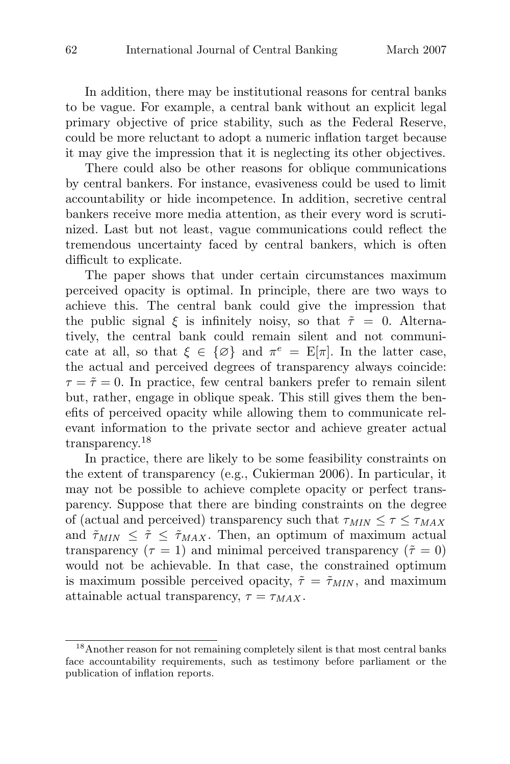In addition, there may be institutional reasons for central banks to be vague. For example, a central bank without an explicit legal primary objective of price stability, such as the Federal Reserve, could be more reluctant to adopt a numeric inflation target because it may give the impression that it is neglecting its other objectives.

There could also be other reasons for oblique communications by central bankers. For instance, evasiveness could be used to limit accountability or hide incompetence. In addition, secretive central bankers receive more media attention, as their every word is scrutinized. Last but not least, vague communications could reflect the tremendous uncertainty faced by central bankers, which is often difficult to explicate.

The paper shows that under certain circumstances maximum perceived opacity is optimal. In principle, there are two ways to achieve this. The central bank could give the impression that the public signal  $\xi$  is infinitely noisy, so that  $\tilde{\tau} = 0$ . Alternatively, the central bank could remain silent and not communicate at all, so that  $\xi \in {\emptyset}$  and  $\pi^e = E[\pi]$ . In the latter case, the actual and perceived degrees of transparency always coincide:  $\tau = \tilde{\tau} = 0$ . In practice, few central bankers prefer to remain silent but, rather, engage in oblique speak. This still gives them the benefits of perceived opacity while allowing them to communicate relevant information to the private sector and achieve greater actual transparency.<sup>18</sup>

In practice, there are likely to be some feasibility constraints on the extent of transparency (e.g., Cukierman 2006). In particular, it may not be possible to achieve complete opacity or perfect transparency. Suppose that there are binding constraints on the degree of (actual and perceived) transparency such that  $\tau_{MIN} \leq \tau \leq \tau_{MAX}$ and  $\tilde{\tau}_{MIN} \leq \tilde{\tau} \leq \tilde{\tau}_{MAX}$ . Then, an optimum of maximum actual transparency ( $\tau = 1$ ) and minimal perceived transparency ( $\tilde{\tau} = 0$ ) would not be achievable. In that case, the constrained optimum is maximum possible perceived opacity,  $\tilde{\tau} = \tilde{\tau}_{MIN}$ , and maximum attainable actual transparency,  $\tau = \tau_{MAX}$ .

<sup>18</sup>Another reason for not remaining completely silent is that most central banks face accountability requirements, such as testimony before parliament or the publication of inflation reports.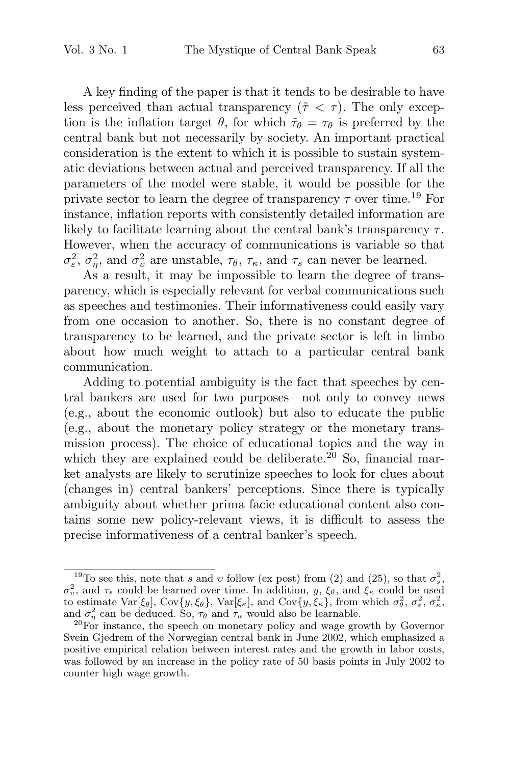A key finding of the paper is that it tends to be desirable to have less perceived than actual transparency  $(\tilde{\tau} \langle \tau \rangle)$ . The only exception is the inflation target  $\theta$ , for which  $\tilde{\tau}_{\theta} = \tau_{\theta}$  is preferred by the central bank but not necessarily by society. An important practical consideration is the extent to which it is possible to sustain systematic deviations between actual and perceived transparency. If all the parameters of the model were stable, it would be possible for the private sector to learn the degree of transparency  $\tau$  over time.<sup>19</sup> For instance, inflation reports with consistently detailed information are likely to facilitate learning about the central bank's transparency  $\tau$ . However, when the accuracy of communications is variable so that  $\sigma_{\varepsilon}^2$ ,  $\sigma_{\eta}^2$ , and  $\sigma_{\nu}^2$  are unstable,  $\tau_{\theta}$ ,  $\tau_{\kappa}$ , and  $\tau_{s}$  can never be learned.

As a result, it may be impossible to learn the degree of transparency, which is especially relevant for verbal communications such as speeches and testimonies. Their informativeness could easily vary from one occasion to another. So, there is no constant degree of transparency to be learned, and the private sector is left in limbo about how much weight to attach to a particular central bank communication.

Adding to potential ambiguity is the fact that speeches by central bankers are used for two purposes—not only to convey news (e.g., about the economic outlook) but also to educate the public (e.g., about the monetary policy strategy or the monetary transmission process). The choice of educational topics and the way in which they are explained could be deliberate.<sup>20</sup> So, financial market analysts are likely to scrutinize speeches to look for clues about (changes in) central bankers' perceptions. Since there is typically ambiguity about whether prima facie educational content also contains some new policy-relevant views, it is difficult to assess the precise informativeness of a central banker's speech.

<sup>&</sup>lt;sup>19</sup>To see this, note that s and v follow (ex post) from (2) and (25), so that  $\sigma_s^2$ ,  $\sigma_v^2$ , and  $\tau_s$  could be learned over time. In addition, y,  $\xi_{\theta}$ , and  $\xi_{\kappa}$  could be used to estimate  $\text{Var}[\xi_\theta], \text{Cov}\{y, \xi_\theta\}, \text{Var}[\xi_\kappa], \text{ and } \text{Cov}\{y, \xi_\kappa\}, \text{ from which } \sigma_\theta^2, \sigma_\varepsilon^2, \sigma_\kappa^2,$ and  $\sigma_{\eta}^2$ 

 $^{20}$ For instance, the speech on monetary policy and wage growth by Governor Svein Gjedrem of the Norwegian central bank in June 2002, which emphasized a positive empirical relation between interest rates and the growth in labor costs, was followed by an increase in the policy rate of 50 basis points in July 2002 to counter high wage growth.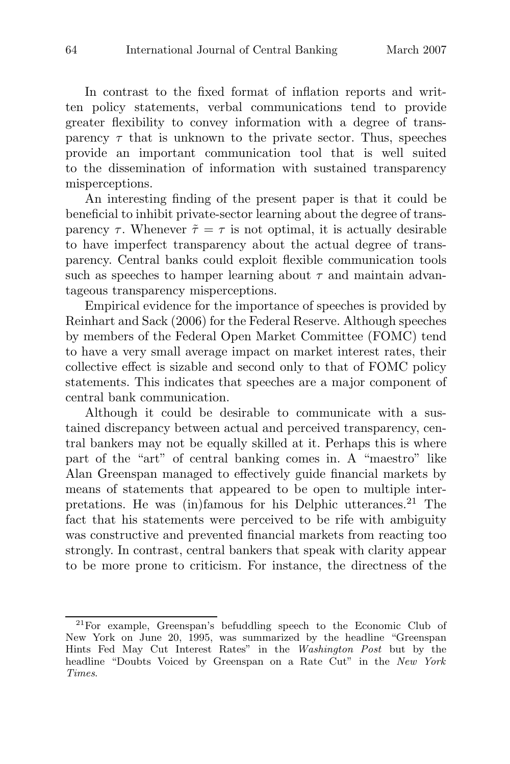In contrast to the fixed format of inflation reports and written policy statements, verbal communications tend to provide greater flexibility to convey information with a degree of transparency  $\tau$  that is unknown to the private sector. Thus, speeches provide an important communication tool that is well suited to the dissemination of information with sustained transparency misperceptions.

An interesting finding of the present paper is that it could be beneficial to inhibit private-sector learning about the degree of transparency  $\tau$ . Whenever  $\tilde{\tau} = \tau$  is not optimal, it is actually desirable to have imperfect transparency about the actual degree of transparency. Central banks could exploit flexible communication tools such as speeches to hamper learning about  $\tau$  and maintain advantageous transparency misperceptions.

Empirical evidence for the importance of speeches is provided by Reinhart and Sack (2006) for the Federal Reserve. Although speeches by members of the Federal Open Market Committee (FOMC) tend to have a very small average impact on market interest rates, their collective effect is sizable and second only to that of FOMC policy statements. This indicates that speeches are a major component of central bank communication.

Although it could be desirable to communicate with a sustained discrepancy between actual and perceived transparency, central bankers may not be equally skilled at it. Perhaps this is where part of the "art" of central banking comes in. A "maestro" like Alan Greenspan managed to effectively guide financial markets by means of statements that appeared to be open to multiple interpretations. He was  $(in)$ famous for his Delphic utterances.<sup>21</sup> The fact that his statements were perceived to be rife with ambiguity was constructive and prevented financial markets from reacting too strongly. In contrast, central bankers that speak with clarity appear to be more prone to criticism. For instance, the directness of the

 $2^{21}$ For example, Greenspan's befuddling speech to the Economic Club of New York on June 20, 1995, was summarized by the headline "Greenspan Hints Fed May Cut Interest Rates" in the Washington Post but by the headline "Doubts Voiced by Greenspan on a Rate Cut" in the New York Times.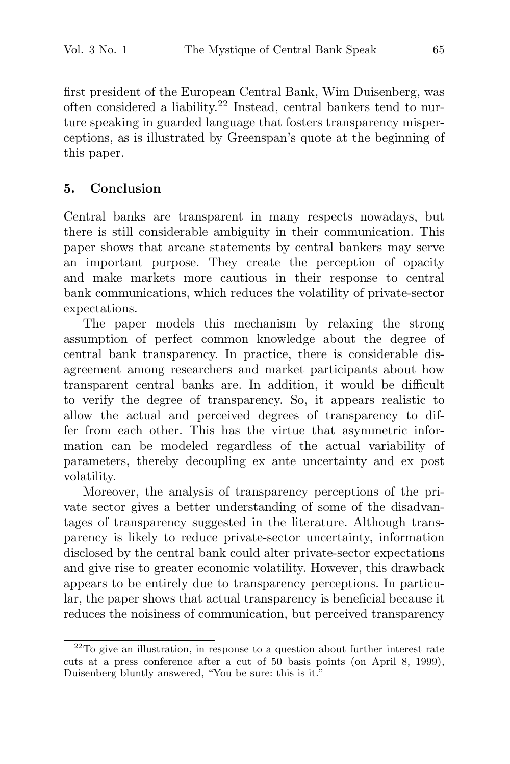first president of the European Central Bank, Wim Duisenberg, was often considered a liability.<sup>22</sup> Instead, central bankers tend to nurture speaking in guarded language that fosters transparency misperceptions, as is illustrated by Greenspan's quote at the beginning of this paper.

## **5. Conclusion**

Central banks are transparent in many respects nowadays, but there is still considerable ambiguity in their communication. This paper shows that arcane statements by central bankers may serve an important purpose. They create the perception of opacity and make markets more cautious in their response to central bank communications, which reduces the volatility of private-sector expectations.

The paper models this mechanism by relaxing the strong assumption of perfect common knowledge about the degree of central bank transparency. In practice, there is considerable disagreement among researchers and market participants about how transparent central banks are. In addition, it would be difficult to verify the degree of transparency. So, it appears realistic to allow the actual and perceived degrees of transparency to differ from each other. This has the virtue that asymmetric information can be modeled regardless of the actual variability of parameters, thereby decoupling ex ante uncertainty and ex post volatility.

Moreover, the analysis of transparency perceptions of the private sector gives a better understanding of some of the disadvantages of transparency suggested in the literature. Although transparency is likely to reduce private-sector uncertainty, information disclosed by the central bank could alter private-sector expectations and give rise to greater economic volatility. However, this drawback appears to be entirely due to transparency perceptions. In particular, the paper shows that actual transparency is beneficial because it reduces the noisiness of communication, but perceived transparency

 $22$ To give an illustration, in response to a question about further interest rate cuts at a press conference after a cut of 50 basis points (on April 8, 1999), Duisenberg bluntly answered, "You be sure: this is it."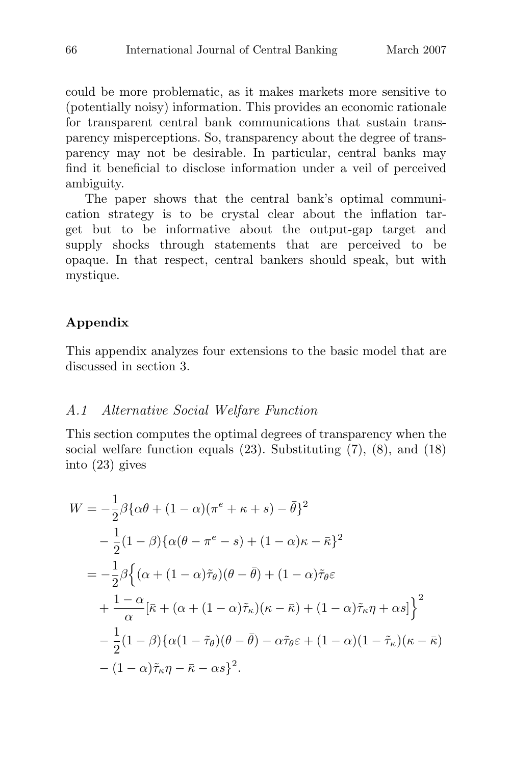could be more problematic, as it makes markets more sensitive to (potentially noisy) information. This provides an economic rationale for transparent central bank communications that sustain transparency misperceptions. So, transparency about the degree of transparency may not be desirable. In particular, central banks may find it beneficial to disclose information under a veil of perceived ambiguity.

The paper shows that the central bank's optimal communication strategy is to be crystal clear about the inflation target but to be informative about the output-gap target and supply shocks through statements that are perceived to be opaque. In that respect, central bankers should speak, but with mystique.

## **Appendix**

This appendix analyzes four extensions to the basic model that are discussed in section 3.

#### A.1 Alternative Social Welfare Function

This section computes the optimal degrees of transparency when the social welfare function equals (23). Substituting (7), (8), and (18) into (23) gives

$$
W = -\frac{1}{2}\beta \{\alpha\theta + (1 - \alpha)(\pi^e + \kappa + s) - \bar{\theta}\}^2
$$
  

$$
-\frac{1}{2}(1 - \beta)\{\alpha(\theta - \pi^e - s) + (1 - \alpha)\kappa - \bar{\kappa}\}^2
$$
  

$$
= -\frac{1}{2}\beta \{(\alpha + (1 - \alpha)\tilde{\tau}_{\theta})(\theta - \bar{\theta}) + (1 - \alpha)\tilde{\tau}_{\theta}\varepsilon
$$
  

$$
+ \frac{1 - \alpha}{\alpha}[\bar{\kappa} + (\alpha + (1 - \alpha)\tilde{\tau}_{\kappa})(\kappa - \bar{\kappa}) + (1 - \alpha)\tilde{\tau}_{\kappa}\eta + \alpha s]\}^2
$$
  

$$
- \frac{1}{2}(1 - \beta)\{\alpha(1 - \tilde{\tau}_{\theta})(\theta - \bar{\theta}) - \alpha\tilde{\tau}_{\theta}\varepsilon + (1 - \alpha)(1 - \tilde{\tau}_{\kappa})(\kappa - \bar{\kappa})
$$
  

$$
- (1 - \alpha)\tilde{\tau}_{\kappa}\eta - \bar{\kappa} - \alpha s\}^2.
$$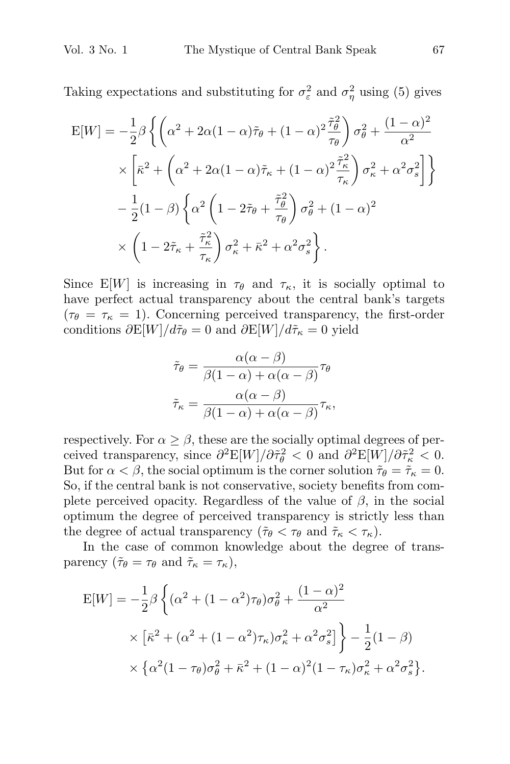Taking expectations and substituting for  $\sigma_{\varepsilon}^2$  and  $\sigma_{\eta}^2$  using (5) gives

$$
\begin{split} \mathcal{E}[W] &= -\frac{1}{2}\beta \left\{ \left( \alpha^2 + 2\alpha(1-\alpha)\tilde{\tau}_{\theta} + (1-\alpha)^2 \frac{\tilde{\tau}_{\theta}^2}{\tau_{\theta}} \right) \sigma_{\theta}^2 + \frac{(1-\alpha)^2}{\alpha^2} \right. \\ &\times \left[ \bar{\kappa}^2 + \left( \alpha^2 + 2\alpha(1-\alpha)\tilde{\tau}_{\kappa} + (1-\alpha)^2 \frac{\tilde{\tau}_{\kappa}^2}{\tau_{\kappa}} \right) \sigma_{\kappa}^2 + \alpha^2 \sigma_s^2 \right] \right\} \\ &- \frac{1}{2}(1-\beta) \left\{ \alpha^2 \left( 1 - 2\tilde{\tau}_{\theta} + \frac{\tilde{\tau}_{\theta}^2}{\tau_{\theta}} \right) \sigma_{\theta}^2 + (1-\alpha)^2 \right. \\ &\times \left. \left( 1 - 2\tilde{\tau}_{\kappa} + \frac{\tilde{\tau}_{\kappa}^2}{\tau_{\kappa}} \right) \sigma_{\kappa}^2 + \bar{\kappa}^2 + \alpha^2 \sigma_s^2 \right\} . \end{split}
$$

Since E[W] is increasing in  $\tau_{\theta}$  and  $\tau_{\kappa}$ , it is socially optimal to have perfect actual transparency about the central bank's targets  $(\tau_{\theta} = \tau_{\kappa} = 1)$ . Concerning perceived transparency, the first-order conditions  $\partial E[W]/d\tilde{\tau}_{\theta} = 0$  and  $\partial E[W]/d\tilde{\tau}_{\kappa} = 0$  yield

$$
\tilde{\tau}_{\theta} = \frac{\alpha(\alpha - \beta)}{\beta(1 - \alpha) + \alpha(\alpha - \beta)} \tau_{\theta}
$$

$$
\tilde{\tau}_{\kappa} = \frac{\alpha(\alpha - \beta)}{\beta(1 - \alpha) + \alpha(\alpha - \beta)} \tau_{\kappa},
$$

respectively. For  $\alpha \geq \beta$ , these are the socially optimal degrees of perceived transparency, since  $\partial^2 E[W]/\partial \tilde{\tau}_{\theta}^2 < 0$  and  $\partial^2 E[W]/\partial \tilde{\tau}_{\kappa}^2 < 0$ . But for  $\alpha < \beta$ , the social optimum is the corner solution  $\tilde{\tau}_{\theta} = \tilde{\tau}_{\kappa} = 0$ . So, if the central bank is not conservative, society benefits from complete perceived opacity. Regardless of the value of  $\beta$ , in the social optimum the degree of perceived transparency is strictly less than the degree of actual transparency ( $\tilde{\tau}_{\theta} < \tau_{\theta}$  and  $\tilde{\tau}_{\kappa} < \tau_{\kappa}$ ).

In the case of common knowledge about the degree of trans-

$$
\begin{aligned}\n\text{parentcy } (\tilde{\tau}_{\theta} &= \tau_{\theta} \text{ and } \tilde{\tau}_{\kappa} = \tau_{\kappa}), \\
\text{E}[W] &= -\frac{1}{2} \beta \left\{ (\alpha^2 + (1 - \alpha^2) \tau_{\theta}) \sigma_{\theta}^2 + \frac{(1 - \alpha)^2}{\alpha^2} \right. \\
&\times \left[ \bar{\kappa}^2 + (\alpha^2 + (1 - \alpha^2) \tau_{\kappa}) \sigma_{\kappa}^2 + \alpha^2 \sigma_{s}^2 \right] \right\} - \frac{1}{2} (1 - \beta) \\
&\times \left\{ \alpha^2 (1 - \tau_{\theta}) \sigma_{\theta}^2 + \bar{\kappa}^2 + (1 - \alpha)^2 (1 - \tau_{\kappa}) \sigma_{\kappa}^2 + \alpha^2 \sigma_{s}^2 \right\}\n\end{aligned}
$$

.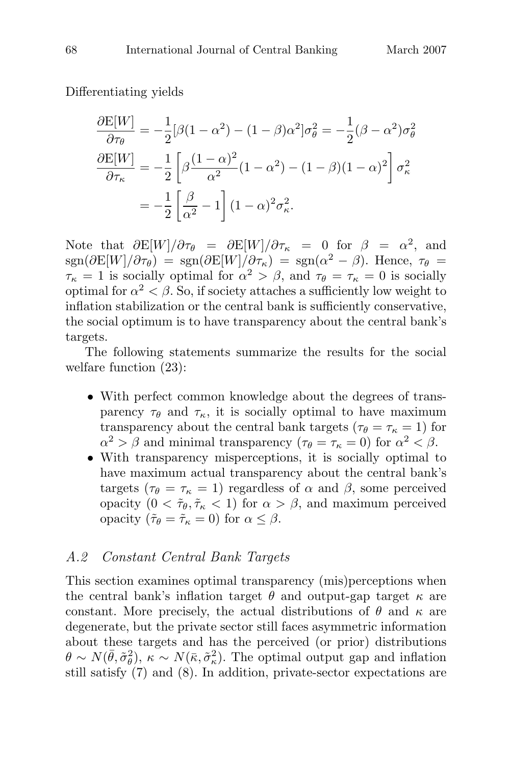Differentiating yields

$$
\frac{\partial E[W]}{\partial \tau_{\theta}} = -\frac{1}{2} [\beta (1 - \alpha^2) - (1 - \beta) \alpha^2] \sigma_{\theta}^2 = -\frac{1}{2} (\beta - \alpha^2) \sigma_{\theta}^2
$$

$$
\frac{\partial E[W]}{\partial \tau_{\kappa}} = -\frac{1}{2} \left[ \beta \frac{(1 - \alpha)^2}{\alpha^2} (1 - \alpha^2) - (1 - \beta) (1 - \alpha)^2 \right] \sigma_{\kappa}^2
$$

$$
= -\frac{1}{2} \left[ \frac{\beta}{\alpha^2} - 1 \right] (1 - \alpha)^2 \sigma_{\kappa}^2.
$$

Note that  $\partial E[W]/\partial \tau_{\theta} = \partial E[W]/\partial \tau_{\kappa} = 0$  for  $\beta = \alpha^2$ , and  $\text{sgn}(\partial E[W]/\partial \tau_{\theta}) = \text{sgn}(\partial E[W]/\partial \tau_{\kappa}) = \text{sgn}(\alpha^2 - \beta)$ . Hence,  $\tau_{\theta} =$  $\tau_{\kappa} = 1$  is socially optimal for  $\alpha^2 > \beta$ , and  $\tau_{\theta} = \tau_{\kappa} = 0$  is socially optimal for  $\alpha^2 < \beta$ . So, if society attaches a sufficiently low weight to inflation stabilization or the central bank is sufficiently conservative, the social optimum is to have transparency about the central bank's targets.

The following statements summarize the results for the social welfare function (23):

- With perfect common knowledge about the degrees of transparency  $\tau_{\theta}$  and  $\tau_{\kappa}$ , it is socially optimal to have maximum transparency about the central bank targets ( $\tau_{\theta} = \tau_{\kappa} = 1$ ) for  $\alpha^2 > \beta$  and minimal transparency  $(\tau_{\theta} = \tau_{\kappa} = 0)$  for  $\alpha^2 < \beta$ .
- With transparency misperceptions, it is socially optimal to have maximum actual transparency about the central bank's targets ( $\tau_{\theta} = \tau_{\kappa} = 1$ ) regardless of  $\alpha$  and  $\beta$ , some perceived opacity  $(0 < \tilde{\tau}_{\theta}, \tilde{\tau}_{\kappa} < 1)$  for  $\alpha > \beta$ , and maximum perceived opacity  $(\tilde{\tau}_{\theta} = \tilde{\tau}_{\kappa} = 0)$  for  $\alpha \leq \beta$ .

## A.2 Constant Central Bank Targets

This section examines optimal transparency (mis)perceptions when the central bank's inflation target  $\theta$  and output-gap target  $\kappa$  are constant. More precisely, the actual distributions of  $\theta$  and  $\kappa$  are degenerate, but the private sector still faces asymmetric information about these targets and has the perceived (or prior) distributions  $\theta \sim N(\bar{\theta}, \tilde{\sigma}_{\theta}^2), \ \kappa \sim N(\bar{\kappa}, \tilde{\sigma}_{\kappa}^2).$  The optimal output gap and inflation still satisfy (7) and (8). In addition, private-sector expectations are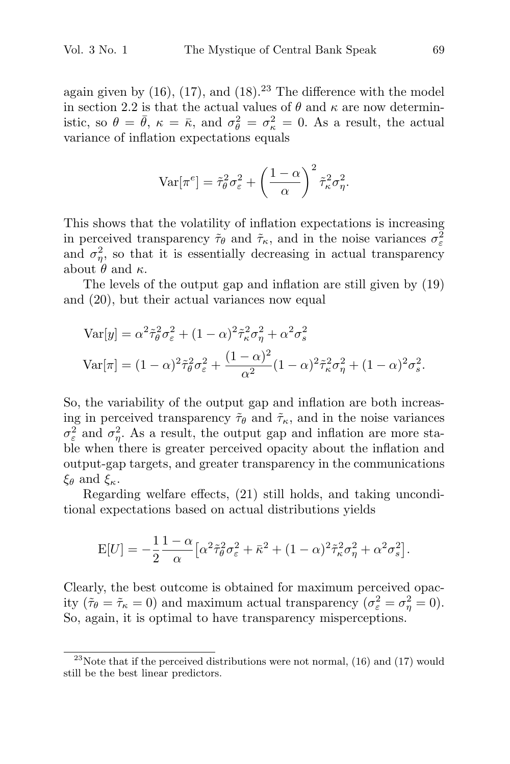again given by  $(16)$ ,  $(17)$ , and  $(18)$ .<sup>23</sup> The difference with the model in section 2.2 is that the actual values of  $\theta$  and  $\kappa$  are now deterministic, so  $\theta = \bar{\theta}$ ,  $\kappa = \bar{\kappa}$ , and  $\sigma_{\theta}^2 = \sigma_{\kappa}^2 = 0$ . As a result, the actual variance of inflation expectations equals

$$
\text{Var}[\pi^e] = \tilde{\tau}_{\theta}^2 \sigma_{\varepsilon}^2 + \left(\frac{1-\alpha}{\alpha}\right)^2 \tilde{\tau}_{\kappa}^2 \sigma_{\eta}^2.
$$

This shows that the volatility of inflation expectations is increasing in perceived transparency  $\tilde{\tau}_{\theta}$  and  $\tilde{\tau}_{\kappa}$ , and in the noise variances  $\sigma_{\varepsilon}^2$ and  $\sigma_{\eta}^2$ , so that it is essentially decreasing in actual transparency about  $\theta$  and  $\kappa$ .

The levels of the output gap and inflation are still given by (19) and (20), but their actual variances now equal

$$
\begin{aligned} \text{Var}[y] &= \alpha^2 \tilde{\tau}_{\theta}^2 \sigma_{\varepsilon}^2 + (1 - \alpha)^2 \tilde{\tau}_{\kappa}^2 \sigma_{\eta}^2 + \alpha^2 \sigma_{s}^2 \\ \text{Var}[\pi] &= (1 - \alpha)^2 \tilde{\tau}_{\theta}^2 \sigma_{\varepsilon}^2 + \frac{(1 - \alpha)^2}{\alpha^2} (1 - \alpha)^2 \tilde{\tau}_{\kappa}^2 \sigma_{\eta}^2 + (1 - \alpha)^2 \sigma_{s}^2. \end{aligned}
$$

So, the variability of the output gap and inflation are both increasing in perceived transparency  $\tilde{\tau}_{\theta}$  and  $\tilde{\tau}_{\kappa}$ , and in the noise variances  $\sigma_{\varepsilon}^2$  and  $\sigma_{\eta}^2$ . As a result, the output gap and inflation are more stable when there is greater perceived opacity about the inflation and output-gap targets, and greater transparency in the communications  $\xi_k$  and  $\xi_k$  $\xi_{\theta}$  and  $\xi_{\kappa}$ .

Regarding welfare effects, (21) still holds, and taking unconditional expectations based on actual distributions yields

$$
E[U] = -\frac{1}{2} \frac{1-\alpha}{\alpha} \left[ \alpha^2 \tilde{\tau}_{\theta}^2 \sigma_{\varepsilon}^2 + \bar{\kappa}^2 + (1-\alpha)^2 \tilde{\tau}_{\kappa}^2 \sigma_{\eta}^2 + \alpha^2 \sigma_{s}^2 \right].
$$

Clearly, the best outcome is obtained for maximum perceived opacity  $(\tilde{\tau}_{\theta} = \tilde{\tau}_{\kappa} = 0)$  and maximum actual transparency  $(\sigma_{\varepsilon}^2 = \sigma_{\eta}^2 = 0)$ . So, again, it is optimal to have transparency misperceptions.

<sup>&</sup>lt;sup>23</sup>Note that if the perceived distributions were not normal,  $(16)$  and  $(17)$  would still be the best linear predictors.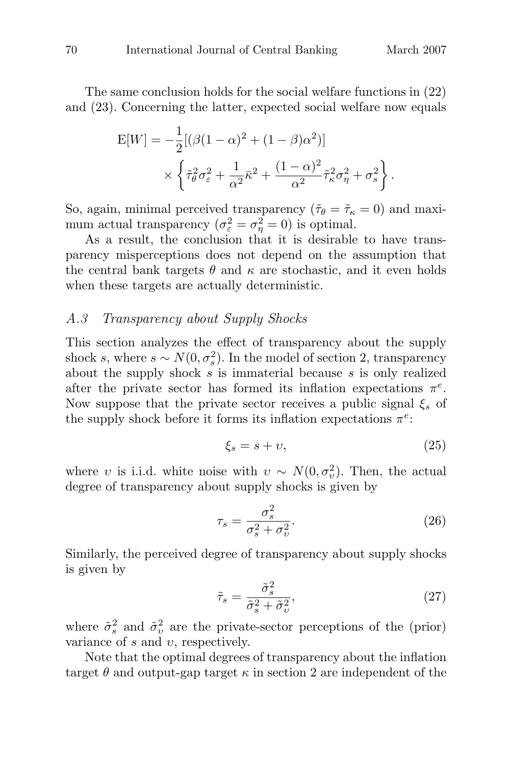The same conclusion holds for the social welfare functions in (22) and (23). Concerning the latter, expected social welfare now equals

$$
E[W] = -\frac{1}{2} [(\beta(1-\alpha)^2 + (1-\beta)\alpha^2)]
$$
  
 
$$
\times \left\{ \tilde{\tau}_{\theta}^2 \sigma_{\varepsilon}^2 + \frac{1}{\alpha^2} \bar{\kappa}^2 + \frac{(1-\alpha)^2}{\alpha^2} \tilde{\tau}_{\kappa}^2 \sigma_{\eta}^2 + \sigma_{s}^2 \right\}.
$$

So, again, minimal perceived transparency ( $\tilde{\tau}_{\theta} = \tilde{\tau}_{\kappa} = 0$ ) and maximum actual transparency  $(\sigma_{\varepsilon}^2 = \sigma_{\eta}^2 = 0)$  is optimal.

As a result, the conclusion that it is desirable to have transparency misperceptions does not depend on the assumption that the central bank targets  $\theta$  and  $\kappa$  are stochastic, and it even holds when these targets are actually deterministic.

### A.3 Transparency about Supply Shocks

This section analyzes the effect of transparency about the supply shock s, where  $s \sim N(0, \sigma_s^2)$ . In the model of section 2, transparency about the supply shock  $s$  is immaterial because  $s$  is only realized after the private sector has formed its inflation expectations  $\pi^e$ . Now suppose that the private sector receives a public signal  $\xi_s$  of the supply shock before it forms its inflation expectations  $\pi^e$ :

$$
\xi_s = s + \upsilon,\tag{25}
$$

where v is i.i.d. white noise with  $v \sim N(0, \sigma_v^2)$ . Then, the actual degree of transparency about supply shocks is given by

$$
\tau_s = \frac{\sigma_s^2}{\sigma_s^2 + \sigma_v^2}.\tag{26}
$$

Similarly, the perceived degree of transparency about supply shocks is given by

$$
\tilde{\tau}_s = \frac{\tilde{\sigma}_s^2}{\tilde{\sigma}_s^2 + \tilde{\sigma}_v^2},\tag{27}
$$

where  $\tilde{\sigma}_{s}^{2}$  and  $\tilde{\sigma}_{v}^{2}$  are the private-sector perceptions of the (prior) variance of  $s$  and  $v$ , respectively.

Note that the optimal degrees of transparency about the inflation target  $\theta$  and output-gap target  $\kappa$  in section 2 are independent of the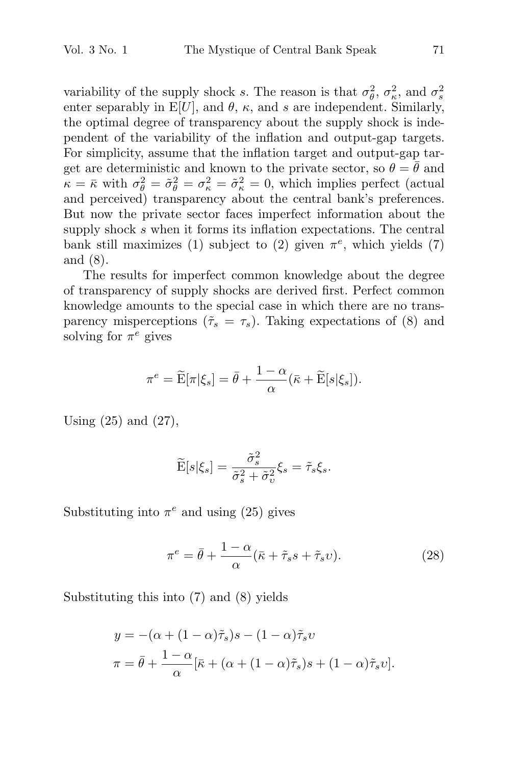variability of the supply shock s. The reason is that  $\sigma_{\theta}^2$ ,  $\sigma_{\kappa}^2$ , and  $\sigma_{s}^2$ enter separably in  $E[U]$ , and  $\theta$ ,  $\kappa$ , and s are independent. Similarly, the optimal degree of transparency about the supply shock is independent of the variability of the inflation and output-gap targets. For simplicity, assume that the inflation target and output-gap target are deterministic and known to the private sector, so  $\theta = \bar{\theta}$  and  $\kappa = \bar{\kappa}$  with  $\sigma_{\theta}^2 = \tilde{\sigma}_{\theta}^2 = \sigma_{\kappa}^2 = \tilde{\sigma}_{\kappa}^2 = 0$ , which implies perfect (actual and perceived) transparency about the central bank's preferences. But now the private sector faces imperfect information about the supply shock s when it forms its inflation expectations. The central bank still maximizes (1) subject to (2) given  $\pi^e$ , which yields (7) and (8).

The results for imperfect common knowledge about the degree of transparency of supply shocks are derived first. Perfect common knowledge amounts to the special case in which there are no transparency misperceptions  $(\tilde{\tau}_s = \tau_s)$ . Taking expectations of (8) and solving for  $\pi^e$  gives bunts to the special case in which ther<br>rceptions  $(\tilde{\tau}_s = \tau_s)$ . Taking expectati<br>gives<br> $\pi^e = \tilde{\mathbf{E}}[\pi|\xi_s] = \bar{\theta} + \frac{1-\alpha}{\alpha}(\bar{\kappa} + \tilde{\mathbf{E}}[s|\xi_s]).$ 

$$
\pi^{e} = \widetilde{\mathbf{E}}[\pi|\xi_s] = \bar{\theta} + \frac{1-\alpha}{\alpha}(\bar{\kappa} + \widetilde{\mathbf{E}}[s|\xi_s]).
$$

Using (25) and (27),

, 
$$
\widetilde{\mathbf{E}}[s|\xi_s] = \frac{\widetilde{\sigma}_s^2}{\widetilde{\sigma}_s^2 + \widetilde{\sigma}_v^2} \xi_s = \widetilde{\tau}_s \xi_s.
$$

Substituting into  $\pi^e$  and using (25) gives

$$
\pi^e = \bar{\theta} + \frac{1 - \alpha}{\alpha} (\bar{\kappa} + \tilde{\tau}_s s + \tilde{\tau}_s v).
$$
 (28)

Substituting this into (7) and (8) yields

$$
y = -(\alpha + (1 - \alpha)\tilde{\tau}_s)s - (1 - \alpha)\tilde{\tau}_s v
$$

$$
\pi = \bar{\theta} + \frac{1 - \alpha}{\alpha} [\bar{\kappa} + (\alpha + (1 - \alpha)\tilde{\tau}_s)s + (1 - \alpha)\tilde{\tau}_s v].
$$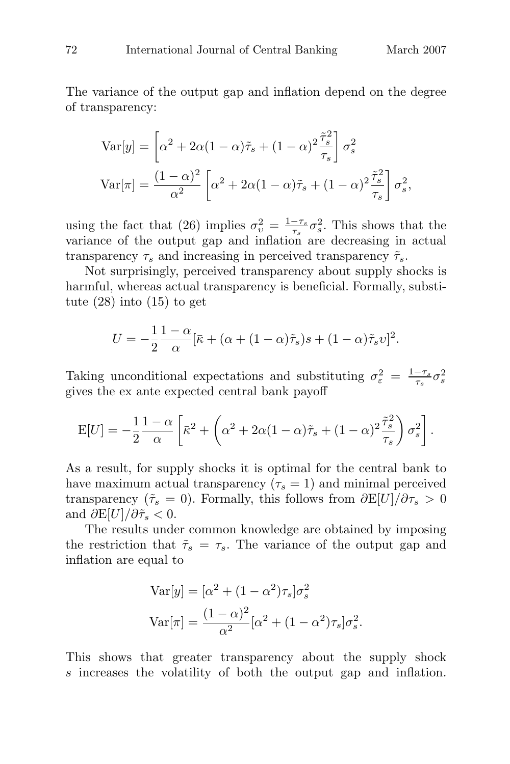The variance of the output gap and inflation depend on the degree<br>of transparation of transparency: ariance of the sparency:<br>Var[y] =  $\begin{bmatrix} \n\end{bmatrix}$ 

$$
\begin{aligned} \text{Var}[y] &= \left[ \alpha^2 + 2\alpha (1 - \alpha)\tilde{\tau}_s + (1 - \alpha)^2 \frac{\tilde{\tau}_s^2}{\tau_s} \right] \sigma_s^2 \\ \text{Var}[\pi] &= \frac{(1 - \alpha)^2}{\alpha^2} \left[ \alpha^2 + 2\alpha (1 - \alpha)\tilde{\tau}_s + (1 - \alpha)^2 \frac{\tilde{\tau}_s^2}{\tau_s} \right] \sigma_s^2, \end{aligned}
$$

using the fact that (26) implies  $\sigma_v^2 = \frac{1-\tau_s}{\tau_s} \sigma_s^2$ . This shows that the variance of the output gap and inflation are decreasing in actual transparency  $\tau_s$  and increasing in perceived transparency  $\tilde{\tau}_s$ .

Not surprisingly, perceived transparency about supply shocks is harmful, whereas actual transparency is beneficial. Formally, substitute  $(28)$  into  $(15)$  to get

$$
U = -\frac{1}{2} \frac{1-\alpha}{\alpha} [\bar{\kappa} + (\alpha + (1-\alpha)\tilde{\tau}_s)s + (1-\alpha)\tilde{\tau}_s v]^2.
$$

Taking unconditional expectations and substituting  $\sigma_{\varepsilon}^2 = \frac{1-\tau_s}{\tau_s} \sigma_s^2$ gives the ex ante expected central bank payoff

$$
\mathcal{E}[U] = -\frac{1}{2}\frac{1-\alpha}{\alpha}\left[\bar{\kappa}^2 + \left(\alpha^2 + 2\alpha(1-\alpha)\tilde{\tau}_s + (1-\alpha)^2\frac{\tilde{\tau}_s^2}{\tau_s}\right)\sigma_s^2\right].
$$

As a result, for supply shocks it is optimal for the central bank to have maximum actual transparency ( $\tau_s = 1$ ) and minimal perceived transparency ( $\tilde{\tau}_s = 0$ ). Formally, this follows from  $\partial E[U]/\partial \tau_s > 0$ and  $\partial E[U]/\partial \tilde{\tau}_s < 0$ .

The results under common knowledge are obtained by imposing the restriction that  $\tilde{\tau}_s = \tau_s$ . The variance of the output gap and inflation are equal to

$$
\text{Var}[y] = [\alpha^2 + (1 - \alpha^2)\tau_s]\sigma_s^2
$$

$$
\text{Var}[\pi] = \frac{(1 - \alpha)^2}{\alpha^2}[\alpha^2 + (1 - \alpha^2)\tau_s]\sigma_s^2.
$$

This shows that greater transparency about the supply shock s increases the volatility of both the output gap and inflation.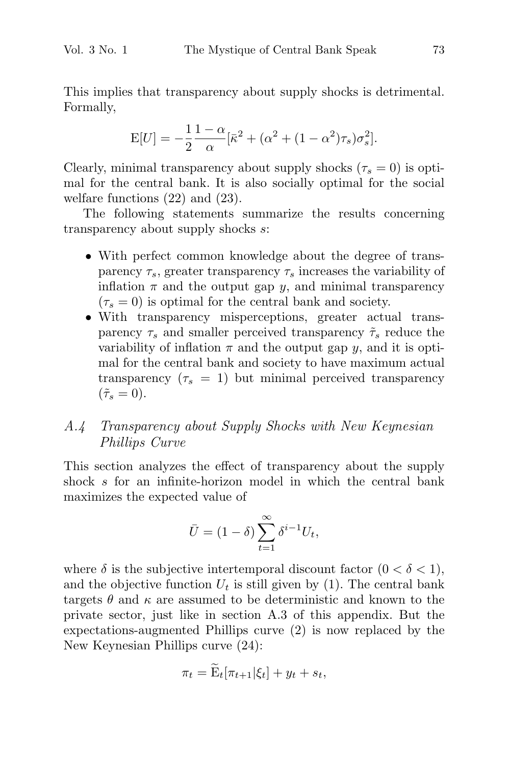This implies that transparency about supply shocks is detrimental. Formally,

$$
E[U] = -\frac{1}{2} \frac{1 - \alpha}{\alpha} [\bar{\kappa}^2 + (\alpha^2 + (1 - \alpha^2)\tau_s)\sigma_s^2].
$$

Clearly, minimal transparency about supply shocks ( $\tau_s = 0$ ) is optimal for the central bank. It is also socially optimal for the social welfare functions (22) and (23).

The following statements summarize the results concerning transparency about supply shocks s:

- With perfect common knowledge about the degree of transparency  $\tau_s$ , greater transparency  $\tau_s$  increases the variability of inflation  $\pi$  and the output gap y, and minimal transparency  $(\tau_s = 0)$  is optimal for the central bank and society.
- With transparency misperceptions, greater actual transparency  $\tau_s$  and smaller perceived transparency  $\tilde{\tau}_s$  reduce the variability of inflation  $\pi$  and the output gap y, and it is optimal for the central bank and society to have maximum actual transparency  $(\tau_s = 1)$  but minimal perceived transparency  $({\tilde{\tau}}_{\rm s}=0).$

# A.4 Transparency about Supply Shocks with New Keynesian Phillips Curve

This section analyzes the effect of transparency about the supply shock s for an infinite-horizon model in which the central bank maximizes the expected value of

$$
\bar{U} = (1 - \delta) \sum_{t=1}^{\infty} \delta^{i-1} U_t,
$$

where  $\delta$  is the subjective intertemporal discount factor  $(0 < \delta < 1)$ , and the objective function  $U_t$  is still given by (1). The central bank targets  $\theta$  and  $\kappa$  are assumed to be deterministic and known to the private sector, just like in section A.3 of this appendix. But the expectations-augmented Phillips curve (2) is now replaced by the New Keynesian Phillips curve (24): assumed to be determinist<br>like in section A.3 of thi<br>ted Phillips curve (2) is<br>ips curve (24):<br> $\pi_t = \widetilde{\mathbf{E}}_t[\pi_{t+1}|\xi_t] + y_t + s_t,$ 

$$
\pi_t = \widetilde{\mathbf{E}}_t[\pi_{t+1}|\xi_t] + y_t + s_t,
$$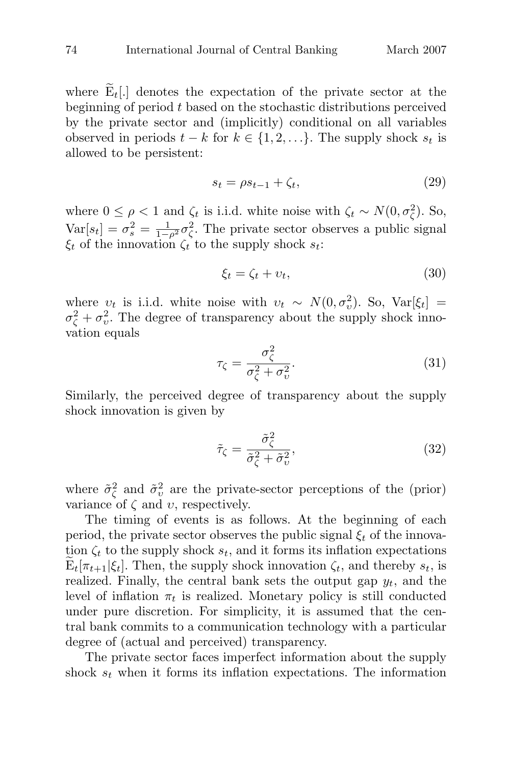where  $\widetilde{E}_t$ . denotes the expectation of the private sector at the beginning of period  $t$  based on the stochastic distributions perceived by the private sector and (implicitly) conditional on all variables observed in periods  $t - k$  for  $k \in \{1, 2, ...\}$ . The supply shock  $s_t$  is allowed to be persistent:

$$
s_t = \rho s_{t-1} + \zeta_t,\tag{29}
$$

where  $0 \leq \rho < 1$  and  $\zeta_t$  is i.i.d. white noise with  $\zeta_t \sim N(0, \sigma_{\zeta}^2)$ . So,  $Var[s_t] = \sigma_s^2 = \frac{1}{1-\rho^2}\sigma_{\zeta}^2$ . The private sector observes a public signal  $\xi_t$  of the innovation  $\zeta_t$  to the supply shock  $s_t$ :

$$
\xi_t = \zeta_t + \upsilon_t,\tag{30}
$$

where  $v_t$  is i.i.d. white noise with  $v_t \sim N(0, \sigma_v^2)$ . So, Var[ $\xi_t$ ] =  $\sigma_{\zeta}^2 + \sigma_{\upsilon}^2$ . The degree of transparency about the supply shock innovation equals

$$
\tau_{\zeta} = \frac{\sigma_{\zeta}^2}{\sigma_{\zeta}^2 + \sigma_{v}^2}.\tag{31}
$$

Similarly, the perceived degree of transparency about the supply shock innovation is given by

$$
\tilde{\tau}_{\zeta} = \frac{\tilde{\sigma}_{\zeta}^2}{\tilde{\sigma}_{\zeta}^2 + \tilde{\sigma}_{v}^2},\tag{32}
$$

where  $\tilde{\sigma}_{\zeta}^2$  and  $\tilde{\sigma}_{v}^2$  are the private-sector perceptions of the (prior) variance of  $\zeta$  and  $v$ , respectively.

The timing of events is as follows. At the beginning of each period, the private sector observes the public signal  $\xi_t$  of the innovation  $\zeta_t$  to the supply shock  $s_t$ , and it forms its inflation expectations where  $\sigma_{\zeta}$  and  $\sigma_{\upsilon}$  are the private-sector perceptions of the (prior)<br>variance of  $\zeta$  and  $\upsilon$ , respectively.<br>The timing of events is as follows. At the beginning of each<br>period, the private sector observes t realized. Finally, the central bank sets the output gap  $y_t$ , and the level of inflation  $\pi_t$  is realized. Monetary policy is still conducted under pure discretion. For simplicity, it is assumed that the central bank commits to a communication technology with a particular degree of (actual and perceived) transparency.

The private sector faces imperfect information about the supply shock  $s_t$  when it forms its inflation expectations. The information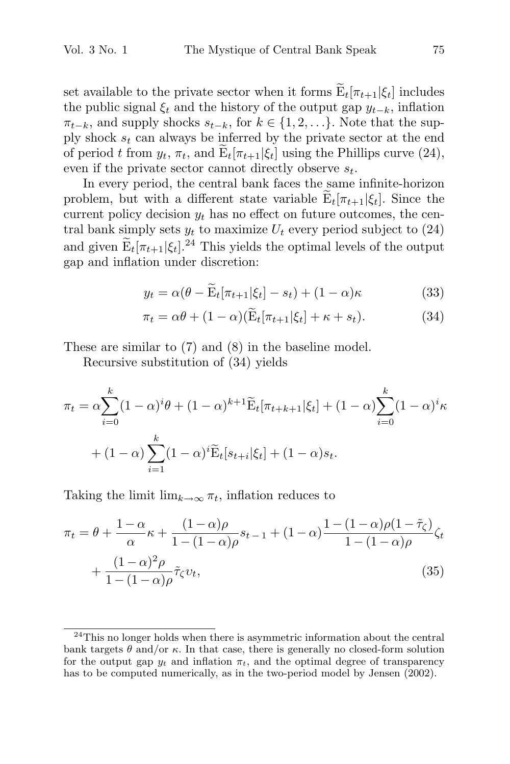Vol. 3 No. 1 The Mystique of Central Bank Speak 75<br>set available to the private sector when it forms  $\widetilde{E}_t[\pi_{t+1}|\xi_t]$  includes the public signal  $\xi_t$  and the history of the output gap  $y_{t-k}$ , inflation  $\pi_{t-k}$ , and supply shocks  $s_{t-k}$ , for  $k \in \{1, 2, ...\}$ . Note that the sup $n_{t-k}$ , and supply shocks  $s_{t-k}$ , for  $k \in \{1, 2, ..., l\}$ . Note that the supply shock  $s_t$  can always be inferred by the private sector at the end of period t from  $y_t$ ,  $\pi_t$ , and  $\widetilde{E}_t[\pi_{t+1}|\xi_t]$  using the Phillips set available to the private sector when it forms  $\widetilde{E}_t[\pi_{t+1}|\xi_t]$  includes<br>the public signal  $\xi_t$  and the history of the output gap  $y_{t-k}$ , inflation<br> $\pi_{t-k}$ , and supply shocks  $s_{t-k}$ , for  $k \in \{1, 2, ...\}$ . Note t even if the private sector cannot directly observe  $s_t$ .

In every period, the central bank faces the same infinite-horizon current policy decision  $y_t$  has no effect on future outcomes, the central bank simply sets  $y_t$  to maximize  $U_t$  every period subject to (24) In every period, the central bank faces the same infinite-horizon<br>problem, but with a different state variable  $\widetilde{E}_t[\pi_{t+1}|\xi_t]$ . Since the<br>current policy decision  $y_t$  has no effect on future outcomes, the cen-<br>tral gap and inflation under discretion: by sets  $y_t$  to maximize  $U_t$  every period subject to (24)<br>  $\tau_{t+1}|\xi_t|^{24}$  This yields the optimal levels of the output<br>
ion under discretion:<br>  $y_t = \alpha(\theta - \widetilde{E}_t[\pi_{t+1}|\xi_t] - s_t) + (1 - \alpha)\kappa$  (33)  $\pi_{t+1}|\xi_t|^{24}$  This yields the optimal levels of the output<br>ion under discretion:<br> $y_t = \alpha(\theta - \widetilde{E}_t[\pi_{t+1}|\xi_t] - s_t) + (1 - \alpha)\kappa$  (33)<br> $\pi_t = \alpha\theta + (1 - \alpha)(\widetilde{E}_t[\pi_{t+1}|\xi_t] + \kappa + s_t).$  (34)

$$
y_t = \alpha(\theta - \widetilde{E}_t[\pi_{t+1}|\xi_t] - s_t) + (1 - \alpha)\kappa
$$
 (33)

$$
\pi_t = \alpha \theta + (1 - \alpha)(\widetilde{\mathbf{E}}_t[\pi_{t+1}|\xi_t] + \kappa + s_t). \tag{34}
$$

These are similar to (7) and (8) in the baseline model.

Recursive substitution of (34) yields

These are similar to (7) and (8) in the baseline model.  
\nRecursive substitution of (34) yields  
\n
$$
\pi_t = \alpha \sum_{i=0}^k (1-\alpha)^i \theta + (1-\alpha)^{k+1} \widetilde{E}_t[\pi_{t+k+1}|\xi_t] + (1-\alpha) \sum_{i=0}^k (1-\alpha)^i \kappa + (1-\alpha) \sum_{i=1}^k (1-\alpha)^i \widetilde{E}_t[s_{t+i}|\xi_t] + (1-\alpha)s_t.
$$

Taking the limit  $\lim_{k\to\infty} \pi_t$ , inflation reduces to

$$
\pi_t = \theta + \frac{1 - \alpha}{\alpha} \kappa + \frac{(1 - \alpha)\rho}{1 - (1 - \alpha)\rho} s_{t-1} + (1 - \alpha) \frac{1 - (1 - \alpha)\rho(1 - \tilde{\tau}_{\zeta})}{1 - (1 - \alpha)\rho} \zeta_t + \frac{(1 - \alpha)^2 \rho}{1 - (1 - \alpha)\rho} \tilde{\tau}_{\zeta} v_t,
$$
(35)

 $^{24}$ This no longer holds when there is asymmetric information about the central bank targets  $\theta$  and/or  $\kappa$ . In that case, there is generally no closed-form solution for the output gap  $y_t$  and inflation  $\pi_t$ , and the optimal degree of transparency has to be computed numerically, as in the two-period model by Jensen (2002).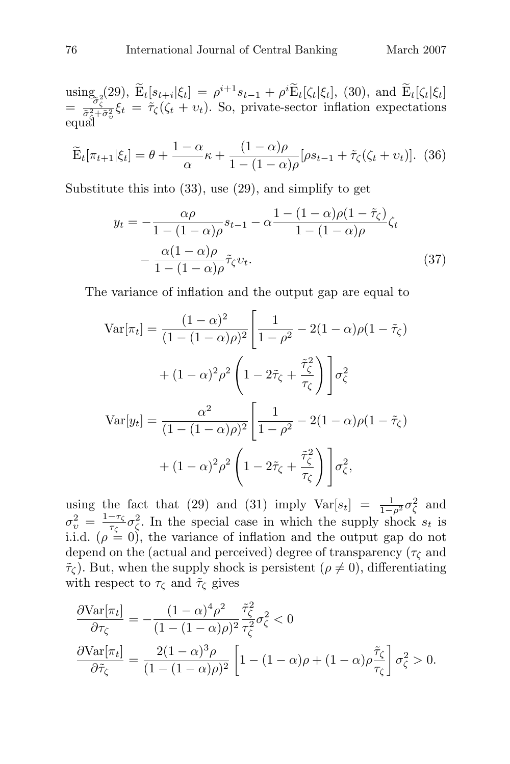T6 International Journal of Central Banking March 2007<br>
using 2(29),  $\tilde{E}_t[s_{t+i}|\xi_t] = \rho^{i+1}s_{t-1} + \rho^i \tilde{E}_t[\zeta_t|\xi_t]$ , (30), and  $\tilde{E}_t[\zeta_t|\xi_t]$  $= \frac{\partial \sigma_{\zeta}^{2}}{\partial \zeta_{i}^{2} + \partial \zeta_{i}^{2}} \xi_{t} = \tilde{\tau}_{\zeta}(\zeta_{t} + v_{t}).$  So, private-sector inflation expectations equal  $\begin{array}{l} \mathrm{sing}_{\tilde{\sigma}_{\zeta}^2}(29),\ \tilde{\mathrm{E}}_t[s_{t+1},\ \frac{\bar{\sigma}_{\zeta}^2+\bar{\sigma}_{\zeta}^2}{\tilde{\sigma}_{\zeta}^2+\bar{\sigma}_{\zeta}^2}\xi_t = \tilde{\tau}_{\zeta}(\zeta) \end{array}$ <br>qual<br> $\widetilde{\mathrm{E}}_t[\pi_{t+1}|\xi_t] = \theta + \frac{1}{2}$ 

$$
\widetilde{\mathbf{E}}_t[\pi_{t+1}|\xi_t] = \theta + \frac{1-\alpha}{\alpha}\kappa + \frac{(1-\alpha)\rho}{1-(1-\alpha)\rho}[\rho s_{t-1} + \widetilde{\tau}_{\zeta}(\zeta_t + \nu_t)]. \tag{36}
$$

Substitute this into (33), use (29), and simplify to get

$$
y_t = -\frac{\alpha \rho}{1 - (1 - \alpha)\rho} s_{t-1} - \alpha \frac{1 - (1 - \alpha)\rho(1 - \tilde{\tau}_{\zeta})}{1 - (1 - \alpha)\rho} \zeta_t - \frac{\alpha(1 - \alpha)\rho}{1 - (1 - \alpha)\rho} \tilde{\tau}_{\zeta} v_t.
$$
(37)

The variance of inflation and the output gap are equal to  
\n
$$
Var[\pi_t] = \frac{(1-\alpha)^2}{(1-(1-\alpha)\rho)^2} \left[ \frac{1}{1-\rho^2} - 2(1-\alpha)\rho(1-\tilde{\tau}_{\zeta}) + (1-\alpha)^2 \rho^2 \left(1 - 2\tilde{\tau}_{\zeta} + \frac{\tilde{\tau}_{\zeta}^2}{\tau_{\zeta}}\right) \right] \sigma_{\zeta}^2
$$
\n
$$
Var[y_t] = \frac{\alpha^2}{(1-(1-\alpha)\rho)^2} \left[ \frac{1}{1-\rho^2} - 2(1-\alpha)\rho(1-\tilde{\tau}_{\zeta}) + (1-\alpha)^2 \rho^2 \left(1 - 2\tilde{\tau}_{\zeta} + \frac{\tilde{\tau}_{\zeta}^2}{\tau_{\zeta}}\right) \right] \sigma_{\zeta}^2,
$$

using the fact that (29) and (31) imply  $Var[s_t] = \frac{1}{1-\rho^2} \sigma_{\zeta}^2$  and  $\sigma_v^2 = \frac{1-\tau_{\zeta}}{\tau_{\zeta}} \sigma_{\zeta}^2$ . In the special case in which the supply shock  $s_t$  is i.i.d.  $(\rho = 0)$ , the variance of inflation and the output gap do not depend on the (actual and perceived) degree of transparency ( $\tau_{\zeta}$  and  $\tilde{\tau}_{\zeta}$ ). But, when the supply shock is persistent  $(\rho \neq 0)$ , differentiating with respect to  $\tau_{\zeta}$  and  $\tilde{\tau}_{\zeta}$  gives

$$
\frac{\partial \text{Var}[\pi_t]}{\partial \tau_{\zeta}} = -\frac{(1-\alpha)^4 \rho^2}{(1-(1-\alpha)\rho)^2} \frac{\tilde{\tau}_{\zeta}^2}{\tau_{\zeta}^2} \sigma_{\zeta}^2 < 0
$$
\n
$$
\frac{\partial \text{Var}[\pi_t]}{\partial \tilde{\tau}_{\zeta}} = \frac{2(1-\alpha)^3 \rho}{(1-(1-\alpha)\rho)^2} \left[1 - (1-\alpha)\rho + (1-\alpha)\rho \frac{\tilde{\tau}_{\zeta}}{\tau_{\zeta}}\right] \sigma_{\zeta}^2 > 0.
$$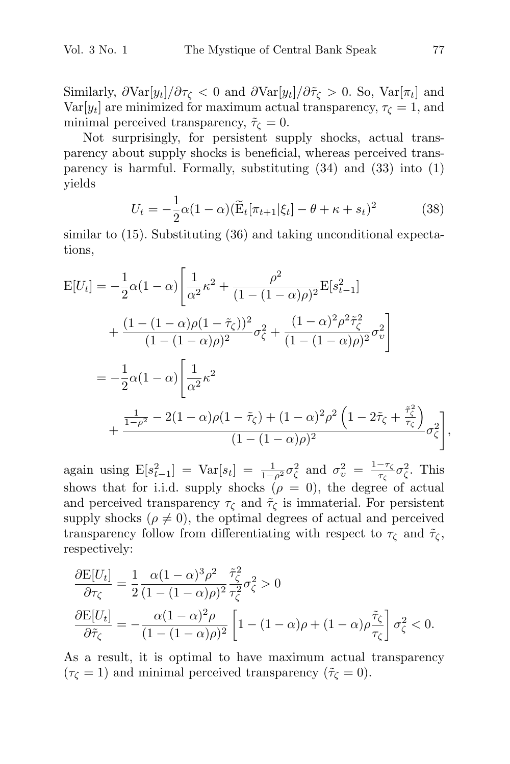Similarly,  $\partial \text{Var}[y_t]/\partial \tau_{\zeta} < 0$  and  $\partial \text{Var}[y_t]/\partial \tilde{\tau}_{\zeta} > 0$ . So,  $\text{Var}[\pi_t]$  and Var $[y_t]$  are minimized for maximum actual transparency,  $\tau_{\zeta} = 1$ , and minimal perceived transparency,  $\tilde{\tau}_{\zeta} = 0$ .

Not surprisingly, for persistent supply shocks, actual transparency about supply shocks is beneficial, whereas perceived transparency is harmful. Formally, substituting (34) and (33) into (1) yields for persistent supply shocks, a<br>y shocks is beneficial, whereas per<br>Formally, substituting (34) and<br> $\alpha(1-\alpha)(\widetilde{E}_t[\pi_{t+1}|\xi_t]-\theta+\kappa+s_t)$ 

$$
U_t = -\frac{1}{2}\alpha(1-\alpha)\left(\widetilde{\mathbf{E}}_t[\pi_{t+1}|\xi_t] - \theta + \kappa + s_t\right)^2\tag{38}
$$

similar to (15). Substituting (36) and taking unconditional expecta-<br>tions tions,

$$
E[U_t] = -\frac{1}{2}\alpha(1-\alpha)\left[\frac{1}{\alpha^2}\kappa^2 + \frac{\rho^2}{(1-(1-\alpha)\rho)^2}E[s_{t-1}^2]\right.+\frac{(1-(1-\alpha)\rho(1-\tilde{\tau}_{\zeta}))^2}{(1-(1-\alpha)\rho)^2}\sigma_{\zeta}^2 + \frac{(1-\alpha)^2\rho^2\tilde{\tau}_{\zeta}^2}{(1-(1-\alpha)\rho)^2}\sigma_{v}^2\right]= -\frac{1}{2}\alpha(1-\alpha)\left[\frac{1}{\alpha^2}\kappa^2+\frac{\frac{1}{1-\rho^2}-2(1-\alpha)\rho(1-\tilde{\tau}_{\zeta})+(1-\alpha)^2\rho^2\left(1-2\tilde{\tau}_{\zeta}+\frac{\tilde{\tau}_{\zeta}^2}{\tau_{\zeta}}\right)}{(1-(1-\alpha)\rho)^2}\sigma_{\zeta}^2\right],
$$

again using  $E[s_{t-1}^2] = Var[s_t] = \frac{1}{1-\rho^2} \sigma_{\zeta}^2$  and  $\sigma_{\upsilon}^2 = \frac{1-\tau_{\zeta}}{\tau_{\zeta}} \sigma_{\zeta}^2$ . This shows that for i.i.d. supply shocks ( $\rho = 0$ ), the degree of actual and perceived transparency  $\tau_{\zeta}$  and  $\tilde{\tau}_{\zeta}$  is immaterial. For persistent supply shocks ( $\rho \neq 0$ ), the optimal degrees of actual and perceived transparency follow from differentiating with respect to  $\tau_{\zeta}$  and  $\tilde{\tau}_{\zeta}$ , respectively:

$$
\frac{\partial \mathcal{E}[U_t]}{\partial \tau_{\zeta}} = \frac{1}{2} \frac{\alpha (1 - \alpha)^3 \rho^2}{(1 - (1 - \alpha)\rho)^2} \frac{\tilde{\tau}_{\zeta}^2}{\tau_{\zeta}^2} \sigma_{\zeta}^2 > 0
$$

$$
\frac{\partial \mathcal{E}[U_t]}{\partial \tilde{\tau}_{\zeta}} = -\frac{\alpha (1 - \alpha)^2 \rho}{(1 - (1 - \alpha)\rho)^2} \left[1 - (1 - \alpha)\rho + (1 - \alpha)\rho \frac{\tilde{\tau}_{\zeta}}{\tau_{\zeta}}\right] \sigma_{\zeta}^2 < 0.
$$

As a result, it is optimal to have maximum actual transparency  $(\tau_{\zeta} = 1)$  and minimal perceived transparency  $(\tilde{\tau}_{\zeta} = 0)$ .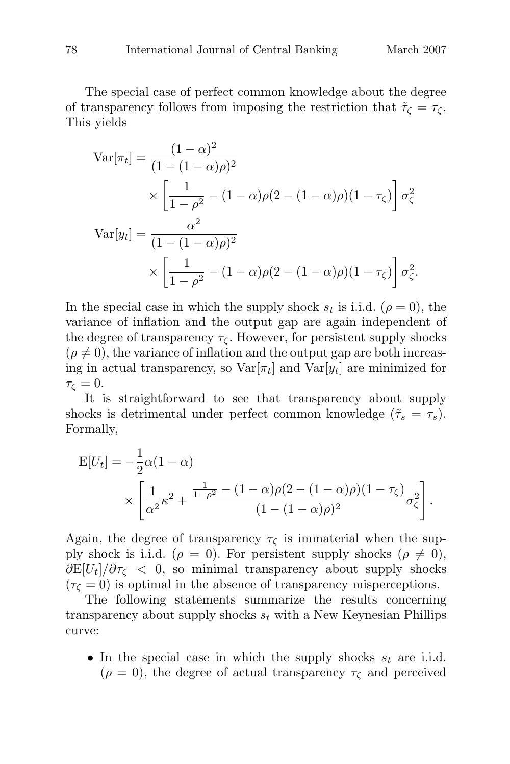The special case of perfect common knowledge about the degree of transparency follows from imposing the restriction that  $\tilde{\tau}_{\zeta} = \tau_{\zeta}$ . This yields

$$
\begin{aligned} \text{Var}[\pi_t] &= \frac{(1-\alpha)^2}{(1-(1-\alpha)\rho)^2} \\ &\times \left[ \frac{1}{1-\rho^2} - (1-\alpha)\rho(2-(1-\alpha)\rho)(1-\tau_\zeta) \right] \sigma_\zeta^2 \\ \text{Var}[y_t] &= \frac{\alpha^2}{(1-(1-\alpha)\rho)^2} \\ &\times \left[ \frac{1}{1-\rho^2} - (1-\alpha)\rho(2-(1-\alpha)\rho)(1-\tau_\zeta) \right] \sigma_\zeta^2. \end{aligned}
$$

In the special case in which the supply shock  $s_t$  is i.i.d.  $(\rho = 0)$ , the variance of inflation and the output gap are again independent of the degree of transparency  $\tau_{\zeta}$ . However, for persistent supply shocks  $(\rho \neq 0)$ , the variance of inflation and the output gap are both increasing in actual transparency, so  $\text{Var}[\pi_t]$  and  $\text{Var}[y_t]$  are minimized for  $\tau_{\zeta}=0.$ 

It is straightforward to see that transparency about supply shocks is detrimental under perfect common knowledge  $(\tilde{\tau}_s = \tau_s)$ . Formally,

$$
E[U_t] = -\frac{1}{2}\alpha(1-\alpha)
$$
  
\$\times \left[ \frac{1}{\alpha^2} \kappa^2 + \frac{\frac{1}{1-\rho^2} - (1-\alpha)\rho(2 - (1-\alpha)\rho)(1-\tau\_{\zeta})}{(1-(1-\alpha)\rho)^2} \sigma\_{\zeta}^2 \right].

Again, the degree of transparency  $\tau_{\zeta}$  is immaterial when the supply shock is i.i.d. ( $\rho = 0$ ). For persistent supply shocks ( $\rho \neq 0$ ),  $\frac{\partial E}{U_t}/\partial \tau_{\zeta}$  < 0, so minimal transparency about supply shocks  $(\tau_{\zeta} = 0)$  is optimal in the absence of transparency misperceptions.

The following statements summarize the results concerning transparency about supply shocks  $s_t$  with a New Keynesian Phillips curve:

• In the special case in which the supply shocks  $s_t$  are i.i.d.  $(\rho = 0)$ , the degree of actual transparency  $\tau_{\zeta}$  and perceived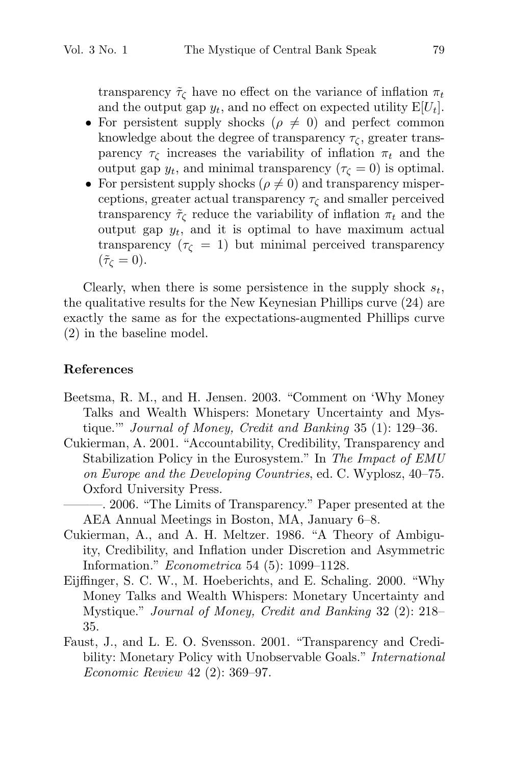transparency  $\tilde{\tau}_{\zeta}$  have no effect on the variance of inflation  $\pi_t$ and the output gap  $y_t$ , and no effect on expected utility  $E[U_t]$ .

- For persistent supply shocks ( $\rho \neq 0$ ) and perfect common knowledge about the degree of transparency  $\tau_c$ , greater transparency  $\tau_c$  increases the variability of inflation  $\pi_t$  and the output gap  $y_t$ , and minimal transparency  $(\tau_{\zeta} = 0)$  is optimal.
- For persistent supply shocks ( $\rho \neq 0$ ) and transparency misperceptions, greater actual transparency  $\tau_{\zeta}$  and smaller perceived transparency  $\tilde{\tau}_{\zeta}$  reduce the variability of inflation  $\pi_t$  and the output gap  $y_t$ , and it is optimal to have maximum actual transparency ( $\tau_{\zeta} = 1$ ) but minimal perceived transparency  $(\tilde{\tau}_{\zeta}=0).$

Clearly, when there is some persistence in the supply shock  $s_t$ , the qualitative results for the New Keynesian Phillips curve (24) are exactly the same as for the expectations-augmented Phillips curve (2) in the baseline model.

#### **References**

- Beetsma, R. M., and H. Jensen. 2003. "Comment on 'Why Money Talks and Wealth Whispers: Monetary Uncertainty and Mystique.'" Journal of Money, Credit and Banking 35 (1): 129–36.
- Cukierman, A. 2001. "Accountability, Credibility, Transparency and Stabilization Policy in the Eurosystem." In The Impact of EMU on Europe and the Developing Countries, ed. C. Wyplosz, 40–75. Oxford University Press.
	- ———. 2006. "The Limits of Transparency." Paper presented at the AEA Annual Meetings in Boston, MA, January 6–8.
- Cukierman, A., and A. H. Meltzer. 1986. "A Theory of Ambiguity, Credibility, and Inflation under Discretion and Asymmetric Information." Econometrica 54 (5): 1099–1128.
- Eijffinger, S. C. W., M. Hoeberichts, and E. Schaling. 2000. "Why Money Talks and Wealth Whispers: Monetary Uncertainty and Mystique." Journal of Money, Credit and Banking 32 (2): 218– 35.
- Faust, J., and L. E. O. Svensson. 2001. "Transparency and Credibility: Monetary Policy with Unobservable Goals." *International* Economic Review 42 (2): 369–97.